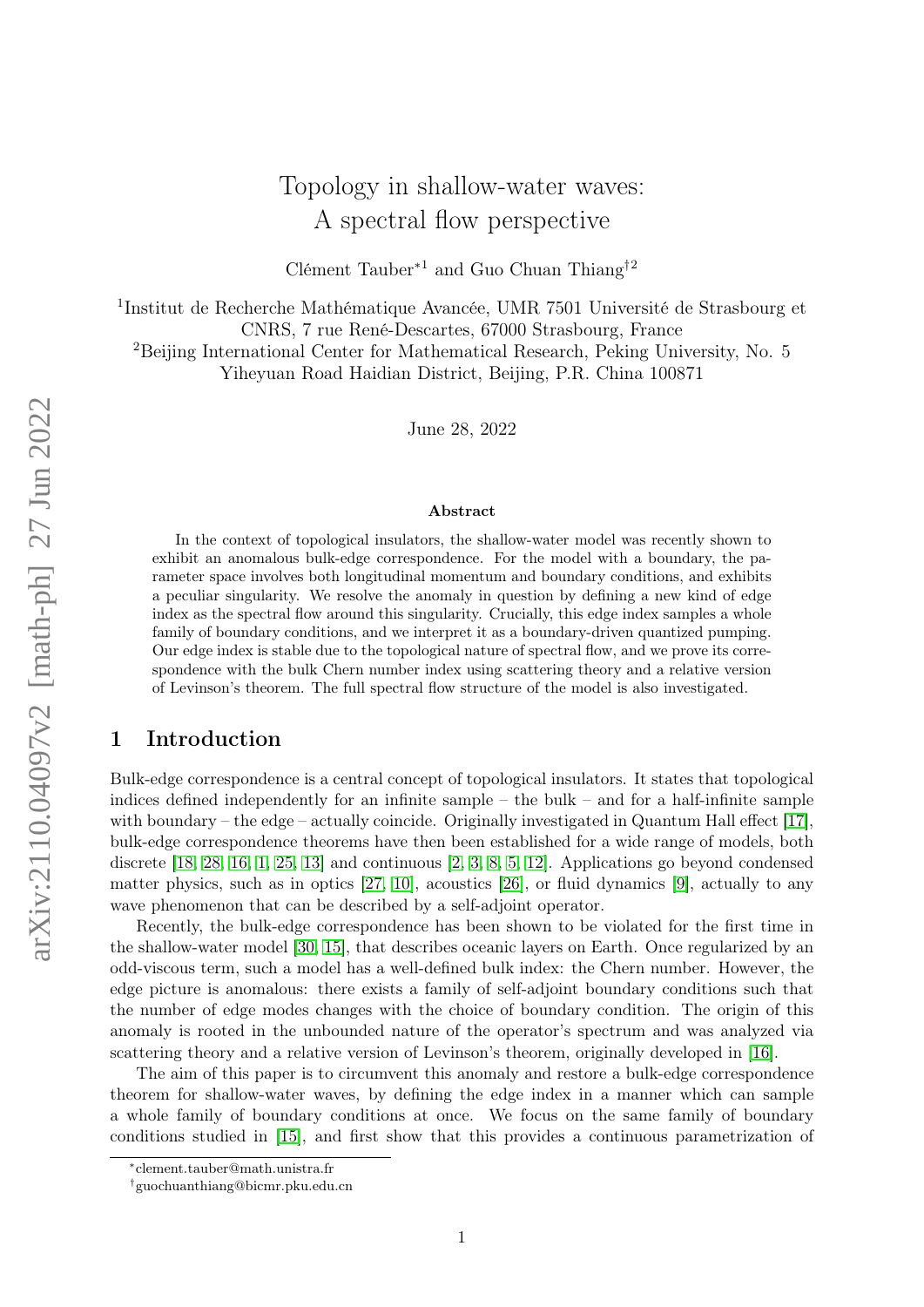# Topology in shallow-water waves: A spectral flow perspective

Clément Tauber<sup>∗1</sup> and Guo Chuan Thiang<sup>†2</sup>

<sup>1</sup>Institut de Recherche Mathématique Avancée, UMR 7501 Université de Strasbourg et CNRS, 7 rue René-Descartes, 67000 Strasbourg, France <sup>2</sup>Beijing International Center for Mathematical Research, Peking University, No. 5 Yiheyuan Road Haidian District, Beijing, P.R. China 100871

June 28, 2022

#### Abstract

In the context of topological insulators, the shallow-water model was recently shown to exhibit an anomalous bulk-edge correspondence. For the model with a boundary, the parameter space involves both longitudinal momentum and boundary conditions, and exhibits a peculiar singularity. We resolve the anomaly in question by defining a new kind of edge index as the spectral flow around this singularity. Crucially, this edge index samples a whole family of boundary conditions, and we interpret it as a boundary-driven quantized pumping. Our edge index is stable due to the topological nature of spectral flow, and we prove its correspondence with the bulk Chern number index using scattering theory and a relative version of Levinson's theorem. The full spectral flow structure of the model is also investigated.

# 1 Introduction

Bulk-edge correspondence is a central concept of topological insulators. It states that topological indices defined independently for an infinite sample – the bulk – and for a half-infinite sample with boundary – the edge – actually coincide. Originally investigated in Quantum Hall effect [\[17\]](#page-19-0), bulk-edge correspondence theorems have then been established for a wide range of models, both discrete [\[18,](#page-19-1) [28,](#page-19-2) [16,](#page-19-3) [1,](#page-18-0) [25,](#page-19-4) [13\]](#page-19-5) and continuous [\[2,](#page-18-1) [3,](#page-18-2) [8,](#page-18-3) [5,](#page-18-4) [12\]](#page-19-6). Applications go beyond condensed matter physics, such as in optics [\[27,](#page-19-7) [10\]](#page-19-8), acoustics [\[26\]](#page-19-9), or fluid dynamics [\[9\]](#page-18-5), actually to any wave phenomenon that can be described by a self-adjoint operator.

Recently, the bulk-edge correspondence has been shown to be violated for the first time in the shallow-water model [\[30,](#page-20-0) [15\]](#page-19-10), that describes oceanic layers on Earth. Once regularized by an odd-viscous term, such a model has a well-defined bulk index: the Chern number. However, the edge picture is anomalous: there exists a family of self-adjoint boundary conditions such that the number of edge modes changes with the choice of boundary condition. The origin of this anomaly is rooted in the unbounded nature of the operator's spectrum and was analyzed via scattering theory and a relative version of Levinson's theorem, originally developed in [\[16\]](#page-19-3).

The aim of this paper is to circumvent this anomaly and restore a bulk-edge correspondence theorem for shallow-water waves, by defining the edge index in a manner which can sample a whole family of boundary conditions at once. We focus on the same family of boundary conditions studied in [\[15\]](#page-19-10), and first show that this provides a continuous parametrization of

<sup>∗</sup> clement.tauber@math.unistra.fr

<sup>†</sup> guochuanthiang@bicmr.pku.edu.cn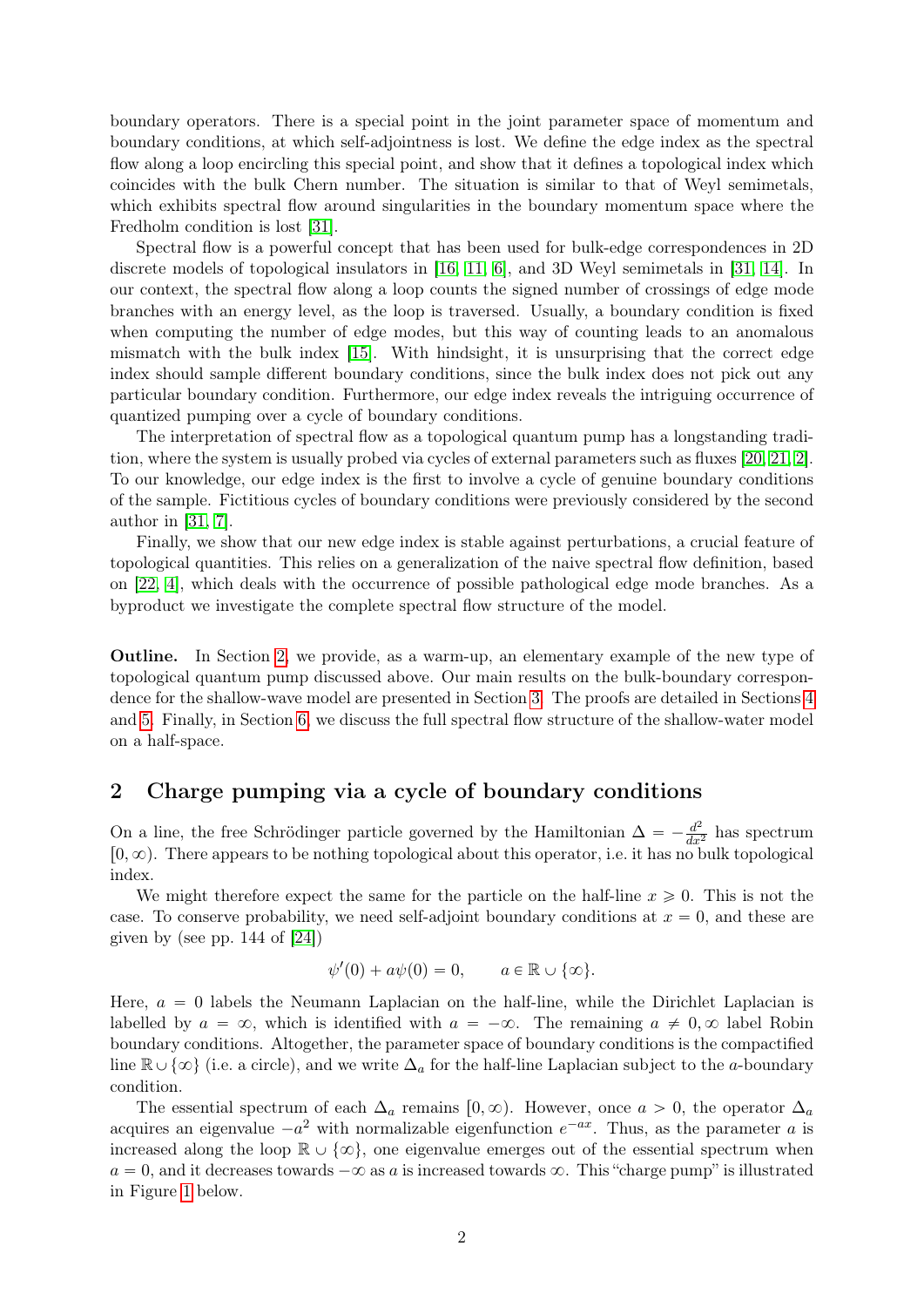boundary operators. There is a special point in the joint parameter space of momentum and boundary conditions, at which self-adjointness is lost. We define the edge index as the spectral flow along a loop encircling this special point, and show that it defines a topological index which coincides with the bulk Chern number. The situation is similar to that of Weyl semimetals, which exhibits spectral flow around singularities in the boundary momentum space where the Fredholm condition is lost [\[31\]](#page-20-1).

Spectral flow is a powerful concept that has been used for bulk-edge correspondences in 2D discrete models of topological insulators in [\[16,](#page-19-3) [11,](#page-19-11) [6\]](#page-18-6), and 3D Weyl semimetals in [\[31,](#page-20-1) [14\]](#page-19-12). In our context, the spectral flow along a loop counts the signed number of crossings of edge mode branches with an energy level, as the loop is traversed. Usually, a boundary condition is fixed when computing the number of edge modes, but this way of counting leads to an anomalous mismatch with the bulk index [\[15\]](#page-19-10). With hindsight, it is unsurprising that the correct edge index should sample different boundary conditions, since the bulk index does not pick out any particular boundary condition. Furthermore, our edge index reveals the intriguing occurrence of quantized pumping over a cycle of boundary conditions.

The interpretation of spectral flow as a topological quantum pump has a longstanding tradition, where the system is usually probed via cycles of external parameters such as fluxes [\[20,](#page-19-13) [21,](#page-19-14) [2\]](#page-18-1). To our knowledge, our edge index is the first to involve a cycle of genuine boundary conditions of the sample. Fictitious cycles of boundary conditions were previously considered by the second author in [\[31,](#page-20-1) [7\]](#page-18-7).

Finally, we show that our new edge index is stable against perturbations, a crucial feature of topological quantities. This relies on a generalization of the naive spectral flow definition, based on [\[22,](#page-19-15) [4\]](#page-18-8), which deals with the occurrence of possible pathological edge mode branches. As a byproduct we investigate the complete spectral flow structure of the model.

Outline. In Section [2,](#page-1-0) we provide, as a warm-up, an elementary example of the new type of topological quantum pump discussed above. Our main results on the bulk-boundary correspondence for the shallow-wave model are presented in Section [3.](#page-2-0) The proofs are detailed in Sections [4](#page-6-0) and [5.](#page-9-0) Finally, in Section [6,](#page-15-0) we discuss the full spectral flow structure of the shallow-water model on a half-space.

# <span id="page-1-0"></span>2 Charge pumping via a cycle of boundary conditions

On a line, the free Schrödinger particle governed by the Hamiltonian  $\Delta = -\frac{d^2}{dx^2}$  has spectrum  $[0, \infty)$ . There appears to be nothing topological about this operator, i.e. it has no bulk topological index.

We might therefore expect the same for the particle on the half-line  $x \ge 0$ . This is not the case. To conserve probability, we need self-adjoint boundary conditions at  $x = 0$ , and these are given by (see pp.  $144$  of  $[24]$ )

$$
\psi'(0) + a\psi(0) = 0, \qquad a \in \mathbb{R} \cup \{\infty\}.
$$

Here,  $a = 0$  labels the Neumann Laplacian on the half-line, while the Dirichlet Laplacian is labelled by  $a = \infty$ , which is identified with  $a = -\infty$ . The remaining  $a \neq 0, \infty$  label Robin boundary conditions. Altogether, the parameter space of boundary conditions is the compactified line  $\mathbb{R}\cup\{\infty\}$  (i.e. a circle), and we write  $\Delta_a$  for the half-line Laplacian subject to the a-boundary condition.

The essential spectrum of each  $\Delta_a$  remains  $[0, \infty)$ . However, once  $a > 0$ , the operator  $\Delta_a$ acquires an eigenvalue  $-a^2$  with normalizable eigenfunction  $e^{-ax}$ . Thus, as the parameter a is increased along the loop  $\mathbb{R} \cup {\infty}$ , one eigenvalue emerges out of the essential spectrum when  $a = 0$ , and it decreases towards  $-\infty$  as a is increased towards  $\infty$ . This "charge pump" is illustrated in Figure [1](#page-2-1) below.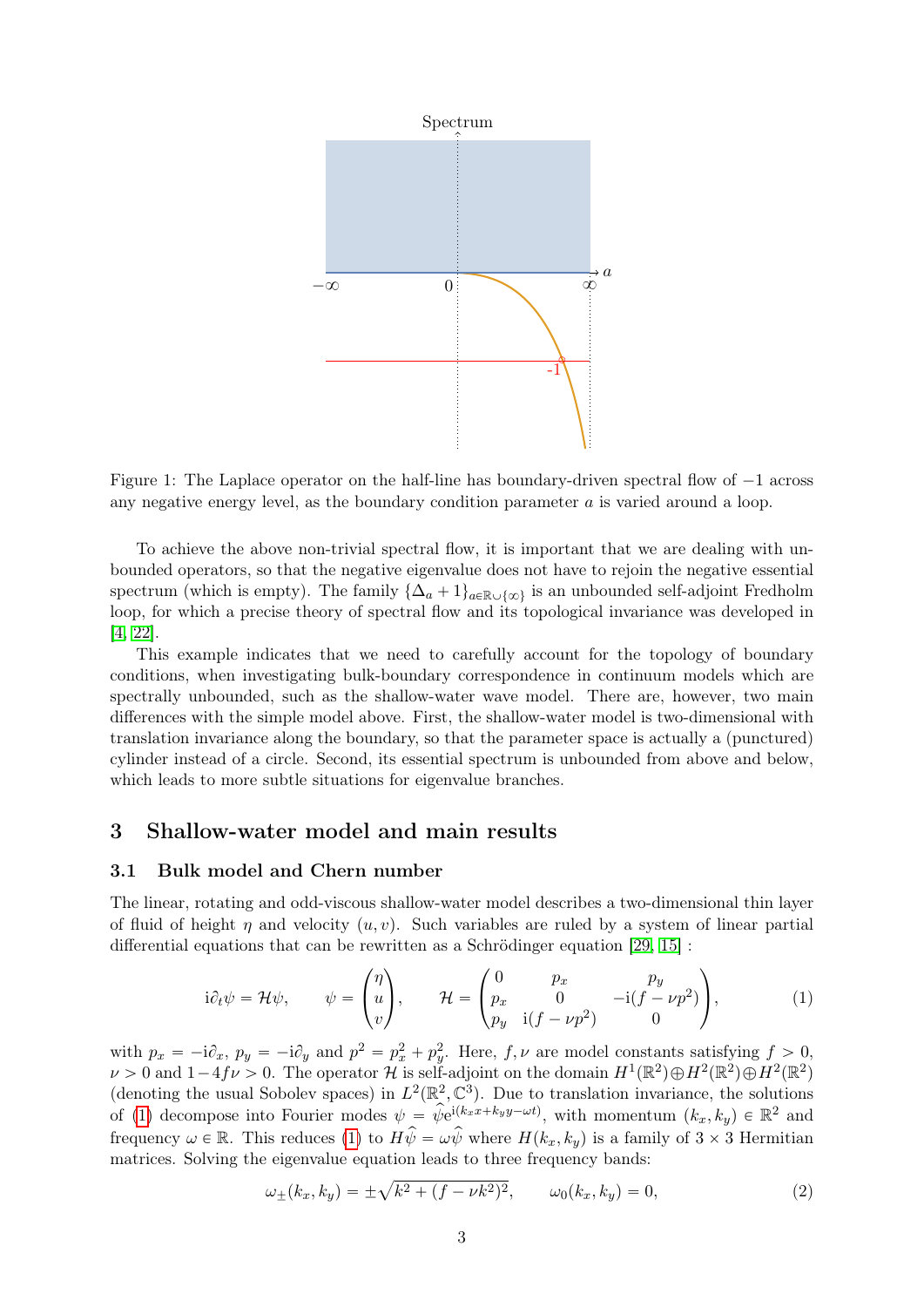

<span id="page-2-1"></span>Figure 1: The Laplace operator on the half-line has boundary-driven spectral flow of  $-1$  across any negative energy level, as the boundary condition parameter a is varied around a loop.

To achieve the above non-trivial spectral flow, it is important that we are dealing with unbounded operators, so that the negative eigenvalue does not have to rejoin the negative essential spectrum (which is empty). The family  $\{\Delta_a + 1\}_{a \in \mathbb{R} \cup \{\infty\}}$  is an unbounded self-adjoint Fredholm loop, for which a precise theory of spectral flow and its topological invariance was developed in [\[4,](#page-18-8) [22\]](#page-19-15).

This example indicates that we need to carefully account for the topology of boundary conditions, when investigating bulk-boundary correspondence in continuum models which are spectrally unbounded, such as the shallow-water wave model. There are, however, two main differences with the simple model above. First, the shallow-water model is two-dimensional with translation invariance along the boundary, so that the parameter space is actually a (punctured) cylinder instead of a circle. Second, its essential spectrum is unbounded from above and below, which leads to more subtle situations for eigenvalue branches.

# <span id="page-2-0"></span>3 Shallow-water model and main results

### 3.1 Bulk model and Chern number

The linear, rotating and odd-viscous shallow-water model describes a two-dimensional thin layer of fluid of height  $\eta$  and velocity  $(u, v)$ . Such variables are ruled by a system of linear partial differential equations that can be rewritten as a Schrödinger equation [\[29,](#page-20-2) [15\]](#page-19-10) : ¨

<span id="page-2-2"></span>
$$
i\partial_t \psi = \mathcal{H}\psi, \qquad \psi = \begin{pmatrix} \eta \\ u \\ v \end{pmatrix}, \qquad \mathcal{H} = \begin{pmatrix} 0 & p_x & p_y \\ p_x & 0 & -i(f - \nu p^2) \\ p_y & i(f - \nu p^2) & 0 \end{pmatrix}, \tag{1}
$$

with  $p_x = -i\partial_x$ ,  $p_y = -i\partial_y$  and  $p^2 = p_x^2 + p_y^2$ . Here,  $f, \nu$  are model constants satisfying  $f > 0$ ,  $\nu > 0$  and  $1-4f\nu > 0$ . The operator H is self-adjoint on the domain  $H^1(\mathbb{R}^2) \oplus H^2(\mathbb{R}^2) \oplus H^2(\mathbb{R}^2)$ (denoting the usual Sobolev spaces) in  $L^2(\mathbb{R}^2, \mathbb{C}^3)$ . Due to translation invariance, the solutions of [\(1\)](#page-2-2) decompose into Fourier modes  $\psi = \hat{\psi}e^{i(k_x x + k_y y - \omega t)}$ , with momentum  $(k_x, k_y) \in \mathbb{R}^2$  and frequency  $\omega \in \mathbb{R}$ . This reduces [\(1\)](#page-2-2) to  $H\hat{\psi} = \omega \hat{\psi}$  where  $H(k_x, k_y)$  is a family of  $3 \times 3$  Hermitian matrices. Solving the eigenvalue equation leads to three frequency bands:

<span id="page-2-3"></span>
$$
\omega_{\pm}(k_x, k_y) = \pm \sqrt{k^2 + (f - \nu k^2)^2}, \qquad \omega_0(k_x, k_y) = 0,
$$
 (2)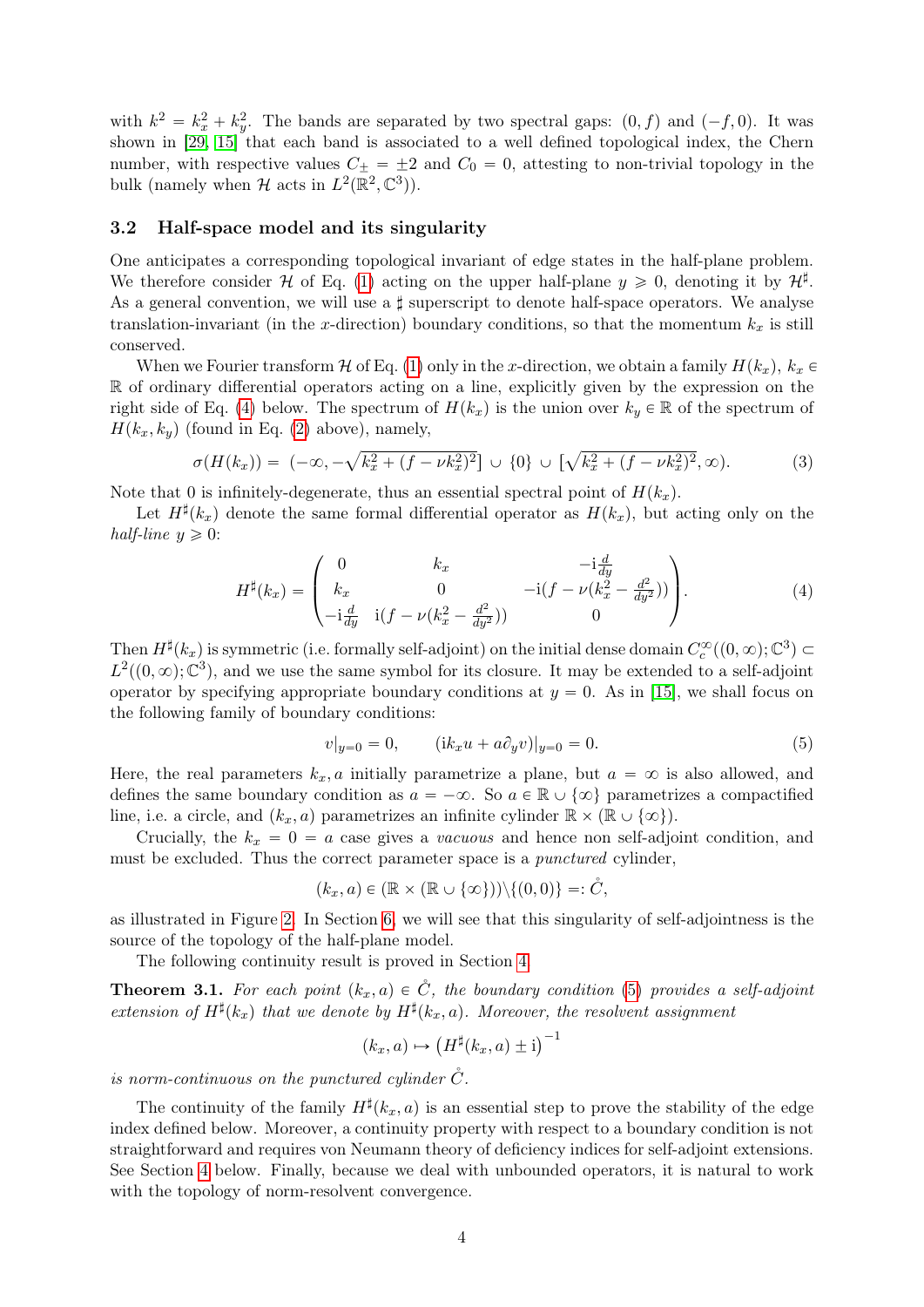with  $k^2 = k_x^2 + k_y^2$ . The bands are separated by two spectral gaps:  $(0, f)$  and  $(-f, 0)$ . It was shown in [\[29,](#page-20-2) [15\]](#page-19-10) that each band is associated to a well defined topological index, the Chern number, with respective values  $C_+ = \pm 2$  and  $C_0 = 0$ , attesting to non-trivial topology in the bulk (namely when  $\mathcal H$  acts in  $L^2(\mathbb R^2,\mathbb C^3)$ ).

### 3.2 Half-space model and its singularity

One anticipates a corresponding topological invariant of edge states in the half-plane problem. We therefore consider H of Eq. [\(1\)](#page-2-2) acting on the upper half-plane  $y \ge 0$ , denoting it by  $\mathcal{H}^{\sharp}$ . As a general convention, we will use a  $\sharp$  superscript to denote half-space operators. We analyse translation-invariant (in the x-direction) boundary conditions, so that the momentum  $k_x$  is still conserved.

When we Fourier transform H of Eq. [\(1\)](#page-2-2) only in the x-direction, we obtain a family  $H(k_x)$ ,  $k_x \in$ R of ordinary differential operators acting on a line, explicitly given by the expression on the right side of Eq. [\(4\)](#page-3-0) below. The spectrum of  $H(k_x)$  is the union over  $k_y \in \mathbb{R}$  of the spectrum of  $H(k_x, k_y)$  (found in Eq. [\(2\)](#page-2-3) above), namely,

<span id="page-3-3"></span>
$$
\sigma(H(k_x)) = (-\infty, -\sqrt{k_x^2 + (f - \nu k_x^2)^2}] \cup \{0\} \cup [\sqrt{k_x^2 + (f - \nu k_x^2)^2}, \infty).
$$
 (3)

Note that 0 is infinitely-degenerate, thus an essential spectral point of  $H(k_x)$ .

Let  $H^{\sharp}(k_x)$  denote the same formal differential operator as  $H(k_x)$ , but acting only on the half-line  $y \geqslant 0$ : **Service** 

<span id="page-3-0"></span>
$$
H^{\sharp}(k_x) = \begin{pmatrix} 0 & k_x & -\mathrm{i}\frac{d}{dy} \\ k_x & 0 & -\mathrm{i}(f - \nu(k_x^2 - \frac{d^2}{dy^2})) \\ -\mathrm{i}\frac{d}{dy} & \mathrm{i}(f - \nu(k_x^2 - \frac{d^2}{dy^2})) & 0 \end{pmatrix}.
$$
 (4)

Then  $H^{\sharp}(k_x)$  is symmetric (i.e. formally self-adjoint) on the initial dense domain  $C_c^{\infty}((0, \infty); \mathbb{C}^3) \subset$  $L^2((0,\infty);\mathbb{C}^3)$ , and we use the same symbol for its closure. It may be extended to a self-adjoint operator by specifying appropriate boundary conditions at  $y = 0$ . As in [\[15\]](#page-19-10), we shall focus on the following family of boundary conditions:

<span id="page-3-1"></span>
$$
v|_{y=0} = 0, \t\t (ik_x u + a\partial_y v)|_{y=0} = 0.
$$
\t(5)

Here, the real parameters  $k_x$ , a initially parametrize a plane, but  $a = \infty$  is also allowed, and defines the same boundary condition as  $a = -\infty$ . So  $a \in \mathbb{R} \cup \{\infty\}$  parametrizes a compactified line, i.e. a circle, and  $(k_x, a)$  parametrizes an infinite cylinder  $\mathbb{R} \times (\mathbb{R} \cup {\infty})$ .

Crucially, the  $k_x = 0 = a$  case gives a vacuous and hence non self-adjoint condition, and must be excluded. Thus the correct parameter space is a *punctured* cylinder,

$$
(k_x, a) \in (\mathbb{R} \times (\mathbb{R} \cup {\infty}))) \setminus \{(0, 0)\} =: \mathring{C},
$$

as illustrated in Figure [2.](#page-4-0) In Section [6,](#page-15-0) we will see that this singularity of self-adjointness is the source of the topology of the half-plane model.

The following continuity result is proved in Section [4.](#page-6-0)

<span id="page-3-2"></span>**Theorem 3.1.** For each point  $(k_x, a) \in \check{C}$ , the boundary condition [\(5\)](#page-3-1) provides a self-adjoint extension of  $H^{\sharp}(k_x)$  that we denote by  $H^{\sharp}(k_x,a)$ . Moreover, the resolvent assignment

$$
(k_x, a) \mapsto (H^{\sharp}(k_x, a) \pm i)^{-1}
$$

is norm-continuous on the punctured cylinder  $\check{C}$ .

The continuity of the family  $H^{\sharp}(k_x, a)$  is an essential step to prove the stability of the edge index defined below. Moreover, a continuity property with respect to a boundary condition is not straightforward and requires von Neumann theory of deficiency indices for self-adjoint extensions. See Section [4](#page-6-0) below. Finally, because we deal with unbounded operators, it is natural to work with the topology of norm-resolvent convergence.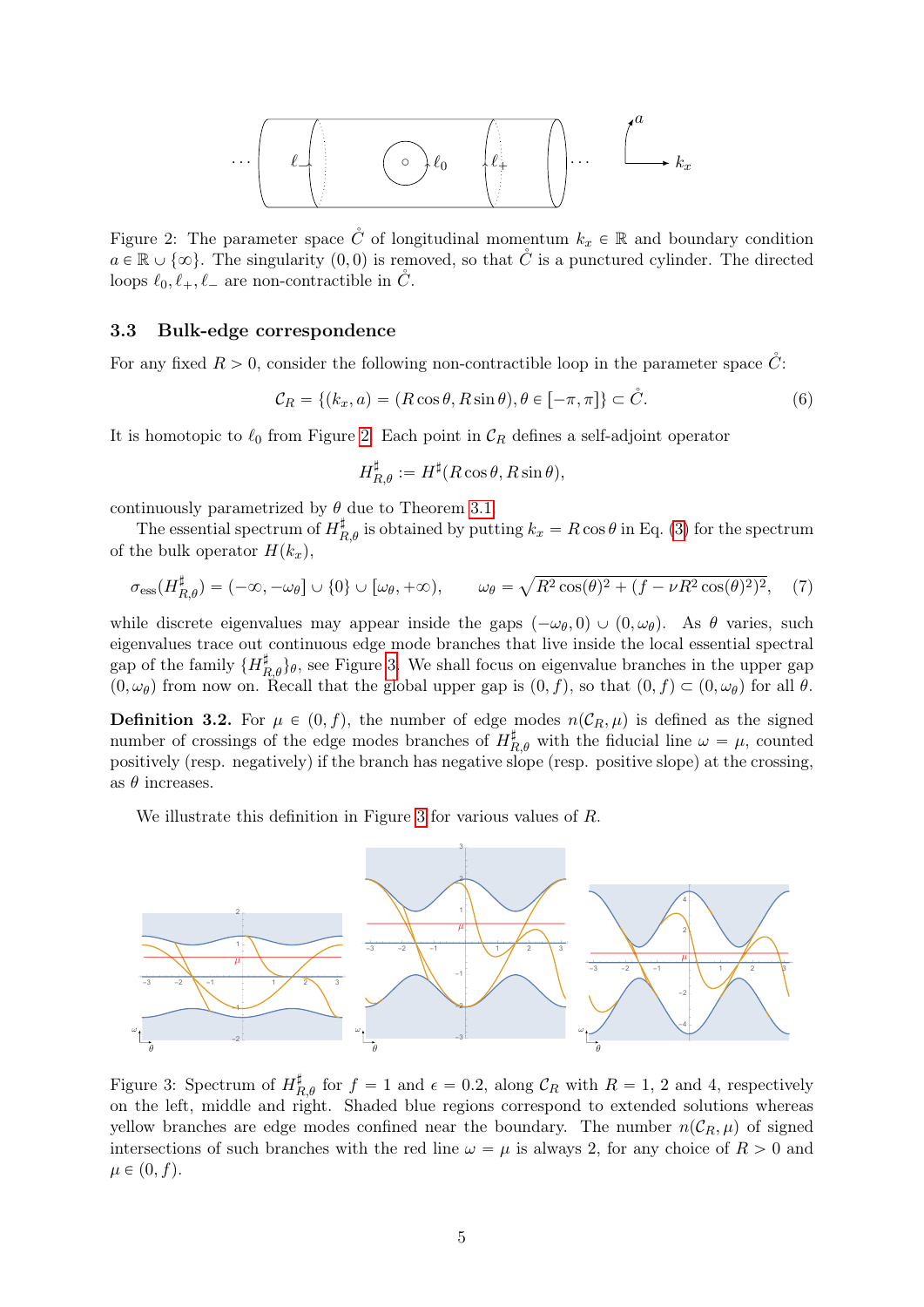$$
\cdots \left(\begin{array}{c|c}\n\ell & \bullet \\
\hline\n\ell & \bullet\n\end{array}\right) \qquad \qquad \ell_0 \qquad \qquad \ell_+^d \qquad \qquad \ell_+^d \qquad \qquad \ell_+^d \qquad \qquad \ell_+^d
$$

<span id="page-4-0"></span>Figure 2: The parameter space  $\hat{C}$  of longitudinal momentum  $k_x \in \mathbb{R}$  and boundary condition  $a \in \mathbb{R} \cup \{\infty\}$ . The singularity  $(0, 0)$  is removed, so that C<sup>'</sup> is a punctured cylinder. The directed loops  $\ell_0, \ell_+, \ell_-$  are non-contractible in  $\tilde{C}$ .

### 3.3 Bulk-edge correspondence

For any fixed  $R > 0$ , consider the following non-contractible loop in the parameter space  $\ddot{C}$ :

$$
\mathcal{C}_R = \{(k_x, a) = (R\cos\theta, R\sin\theta), \theta \in [-\pi, \pi]\} \subset \mathring{C}.
$$
 (6)

It is homotopic to  $\ell_0$  from Figure [2.](#page-4-0) Each point in  $\mathcal{C}_R$  defines a self-adjoint operator

$$
H_{R,\theta}^{\sharp} := H^{\sharp}(R\cos\theta, R\sin\theta),
$$

continuously parametrized by  $\theta$  due to Theorem [3.1.](#page-3-2)

The essential spectrum of  $H_{R,\theta}^{\sharp}$  is obtained by putting  $k_x = R \cos \theta$  in Eq. [\(3\)](#page-3-3) for the spectrum of the bulk operator  $H(k_x)$ ,

<span id="page-4-2"></span>
$$
\sigma_{\rm ess}(H_{R,\theta}^{\sharp}) = (-\infty, -\omega_{\theta}] \cup \{0\} \cup [\omega_{\theta}, +\infty), \qquad \omega_{\theta} = \sqrt{R^2 \cos(\theta)^2 + (f - \nu R^2 \cos(\theta)^2)^2}, \tag{7}
$$

while discrete eigenvalues may appear inside the gaps  $(-\omega_\theta, 0) \cup (0, \omega_\theta)$ . As  $\theta$  varies, such eigenvalues trace out continuous edge mode branches that live inside the local essential spectral gap of the family  $\{H_{R,\theta}^{\sharp}\}_\theta$ , see Figure [3.](#page-4-1) We shall focus on eigenvalue branches in the upper gap  $(0, \omega_{\theta})$  from now on. Recall that the global upper gap is  $(0, f)$ , so that  $(0, f) \subset (0, \omega_{\theta})$  for all  $\theta$ .

<span id="page-4-3"></span>**Definition 3.2.** For  $\mu \in (0, f)$ , the number of edge modes  $n(C_R, \mu)$  is defined as the signed number of crossings of the edge modes branches of  $H_{R,\theta}^{\sharp}$  with the fiducial line  $\omega = \mu$ , counted positively (resp. negatively) if the branch has negative slope (resp. positive slope) at the crossing, as  $\theta$  increases.

We illustrate this definition in Figure [3](#page-4-1) for various values of R.



<span id="page-4-1"></span>Figure 3: Spectrum of  $H_{R,\theta}^{\sharp}$  for  $f = 1$  and  $\epsilon = 0.2$ , along  $\mathcal{C}_R$  with  $R = 1, 2$  and 4, respectively on the left, middle and right. Shaded blue regions correspond to extended solutions whereas yellow branches are edge modes confined near the boundary. The number  $n(C_R, \mu)$  of signed intersections of such branches with the red line  $\omega = \mu$  is always 2, for any choice of  $R > 0$  and  $\mu \in (0, f)$ .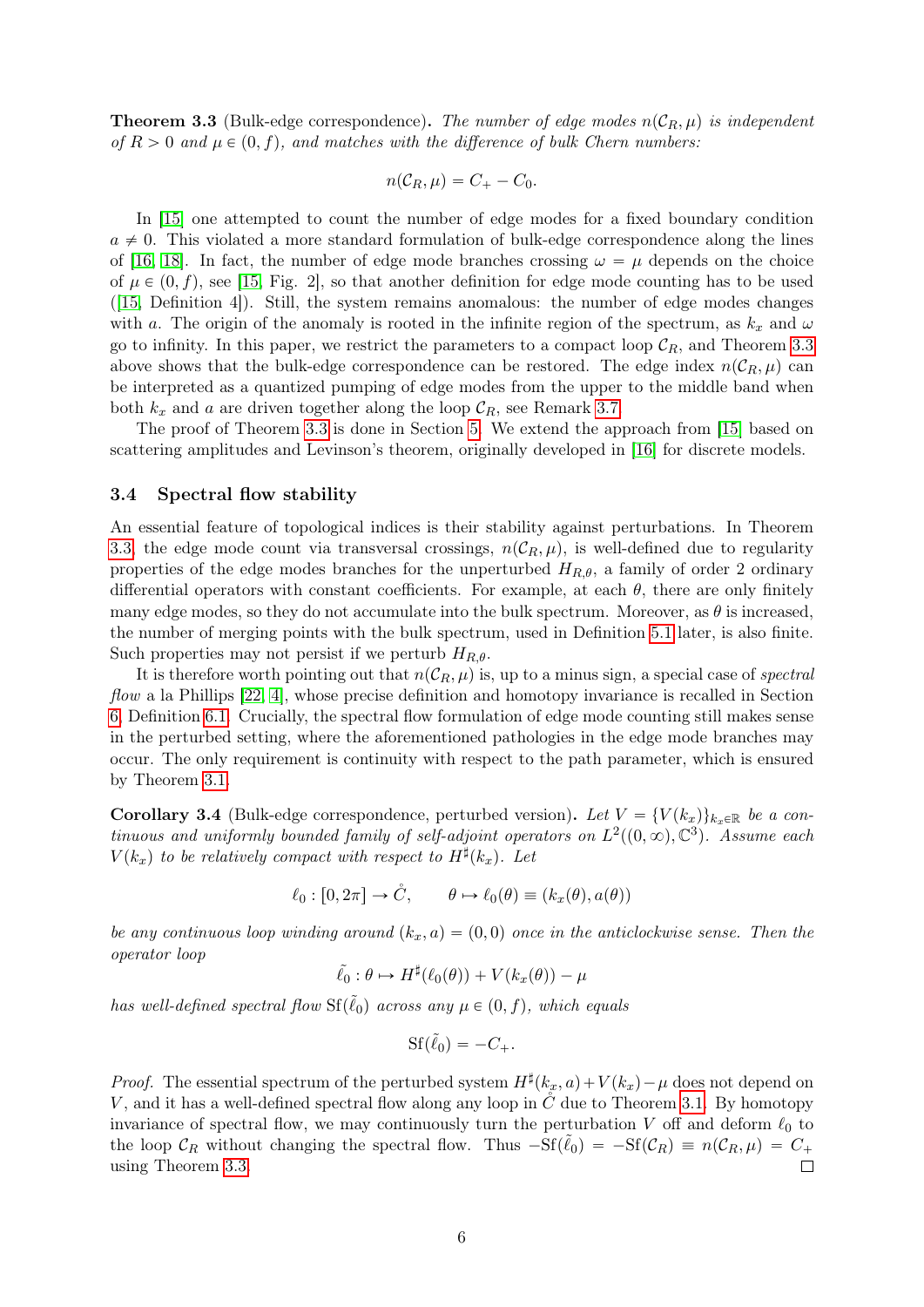<span id="page-5-0"></span>**Theorem 3.3** (Bulk-edge correspondence). The number of edge modes  $n(C_R, \mu)$  is independent of  $R > 0$  and  $\mu \in (0, f)$ , and matches with the difference of bulk Chern numbers:

$$
n(\mathcal{C}_R, \mu) = C_+ - C_0.
$$

In [\[15\]](#page-19-10) one attempted to count the number of edge modes for a fixed boundary condition  $a \neq 0$ . This violated a more standard formulation of bulk-edge correspondence along the lines of [\[16,](#page-19-3) [18\]](#page-19-1). In fact, the number of edge mode branches crossing  $\omega = \mu$  depends on the choice of  $\mu \in (0, f)$ , see [\[15,](#page-19-10) Fig. 2], so that another definition for edge mode counting has to be used ([\[15,](#page-19-10) Definition 4]). Still, the system remains anomalous: the number of edge modes changes with a. The origin of the anomaly is rooted in the infinite region of the spectrum, as  $k_x$  and  $\omega$ go to infinity. In this paper, we restrict the parameters to a compact loop  $\mathcal{C}_R$ , and Theorem [3.3](#page-5-0) above shows that the bulk-edge correspondence can be restored. The edge index  $n(C_R, \mu)$  can be interpreted as a quantized pumping of edge modes from the upper to the middle band when both  $k_x$  and a are driven together along the loop  $\mathcal{C}_R$ , see Remark [3.7.](#page-6-1)

The proof of Theorem [3.3](#page-5-0) is done in Section [5.](#page-9-0) We extend the approach from [\[15\]](#page-19-10) based on scattering amplitudes and Levinson's theorem, originally developed in [\[16\]](#page-19-3) for discrete models.

### <span id="page-5-2"></span>3.4 Spectral flow stability

An essential feature of topological indices is their stability against perturbations. In Theorem [3.3,](#page-5-0) the edge mode count via transversal crossings,  $n(C_R, \mu)$ , is well-defined due to regularity properties of the edge modes branches for the unperturbed  $H_{R,\theta}$ , a family of order 2 ordinary differential operators with constant coefficients. For example, at each  $\theta$ , there are only finitely many edge modes, so they do not accumulate into the bulk spectrum. Moreover, as  $\theta$  is increased, the number of merging points with the bulk spectrum, used in Definition [5.1](#page-10-0) later, is also finite. Such properties may not persist if we perturb  $H_{R,\theta}$ .

It is therefore worth pointing out that  $n(C_R, \mu)$  is, up to a minus sign, a special case of spectral flow a la Phillips [\[22,](#page-19-15) [4\]](#page-18-8), whose precise definition and homotopy invariance is recalled in Section [6,](#page-15-0) Definition [6.1.](#page-15-1) Crucially, the spectral flow formulation of edge mode counting still makes sense in the perturbed setting, where the aforementioned pathologies in the edge mode branches may occur. The only requirement is continuity with respect to the path parameter, which is ensured by Theorem [3.1.](#page-3-2)

<span id="page-5-1"></span>**Corollary 3.4** (Bulk-edge correspondence, perturbed version). Let  $V = \{V(k_x)\}_{k_x \in \mathbb{R}}$  be a continuous and uniformly bounded family of self-adjoint operators on  $L^2((0,\infty),\mathbb{C}^3)$ . Assume each  $V(k_x)$  to be relatively compact with respect to  $H^{\sharp}(k_x)$ . Let

$$
\ell_0 : [0, 2\pi] \to \mathring{C}, \qquad \theta \mapsto \ell_0(\theta) \equiv (k_x(\theta), a(\theta))
$$

be any continuous loop winding around  $(k_x, a) = (0, 0)$  once in the anticlockwise sense. Then the operator loop

$$
\tilde{\ell}_0 : \theta \mapsto H^{\sharp}(\ell_0(\theta)) + V(k_x(\theta)) - \mu
$$

has well-defined spectral flow  $\text{Sf}(\tilde{\ell}_0)$  across any  $\mu \in (0, f)$ , which equals

$$
\mathrm{Sf}(\tilde{\ell}_0) = -C_+.
$$

*Proof.* The essential spectrum of the perturbed system  $H^{\sharp}(k_x, a) + V(k_x) - \mu$  does not depend on V, and it has a well-defined spectral flow along any loop in  $\check{C}$  due to Theorem [3.1.](#page-3-2) By homotopy invariance of spectral flow, we may continuously turn the perturbation V off and deform  $\ell_0$  to the loop  $C_R$  without changing the spectral flow. Thus  $-Sf(\tilde{\ell}_0) = -Sf(\mathcal{C}_R) \equiv n(\mathcal{C}_R, \mu) = C_+$ using Theorem [3.3.](#page-5-0)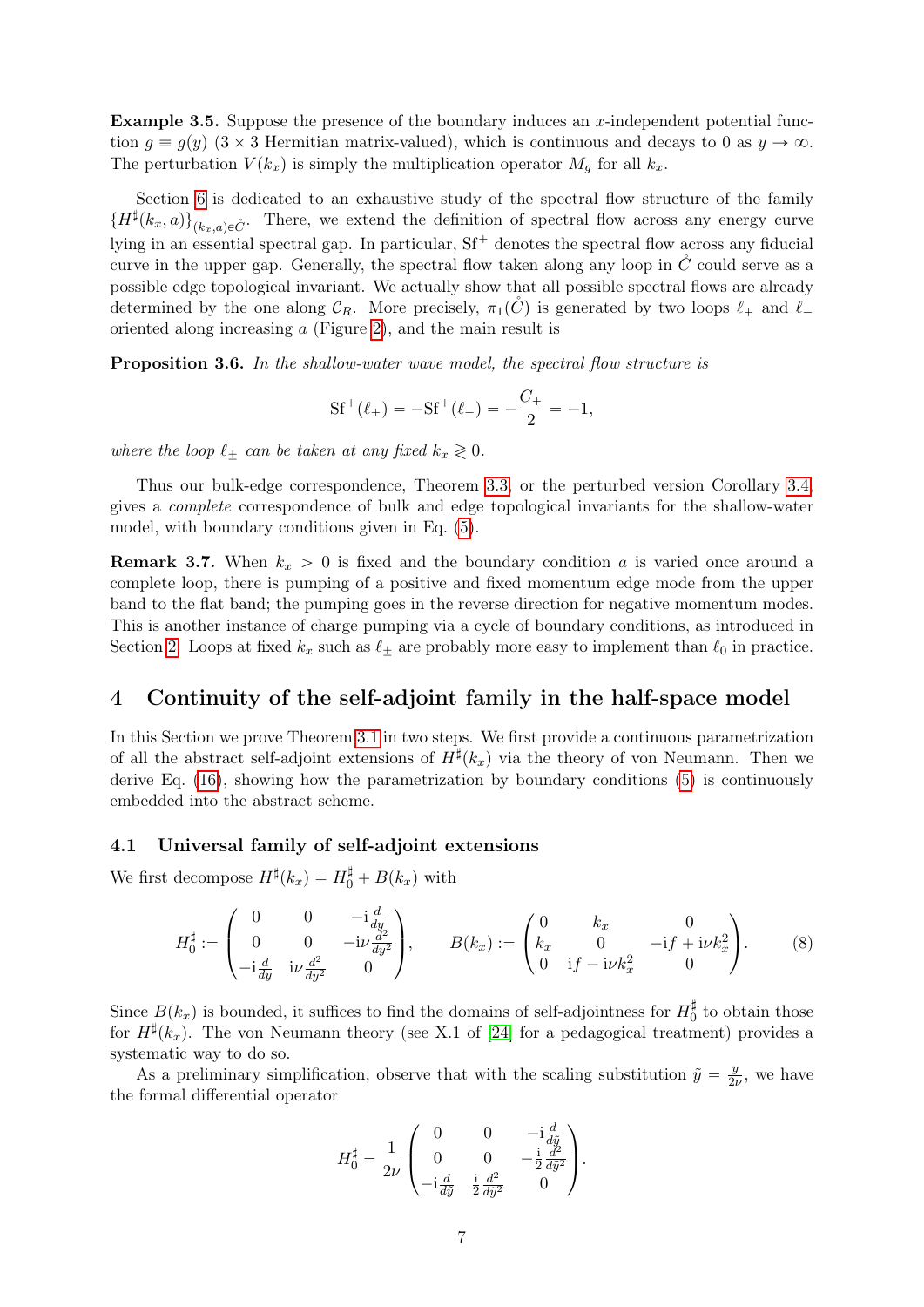**Example 3.5.** Suppose the presence of the boundary induces an x-independent potential function  $q \equiv q(y)$  (3  $\times$  3 Hermitian matrix-valued), which is continuous and decays to 0 as  $y \to \infty$ . The perturbation  $V(k_x)$  is simply the multiplication operator  $M_q$  for all  $k_x$ .

Section [6](#page-15-0) is dedicated to an exhaustive study of the spectral flow structure of the family  $\{H^{\sharp}(k_x,a)\}_{(k_x,a)\in\mathring{C}}$ . There, we extend the definition of spectral flow across any energy curve lying in an essential spectral gap. In particular,  $Sf^+$  denotes the spectral flow across any fiducial curve in the upper gap. Generally, the spectral flow taken along any loop in  $\tilde{C}$  could serve as a possible edge topological invariant. We actually show that all possible spectral flows are already determined by the one along  $\mathcal{C}_R$ . More precisely,  $\pi_1(\check{C})$  is generated by two loops  $\ell_+$  and  $\ell_$ oriented along increasing a (Figure [2\)](#page-4-0), and the main result is

<span id="page-6-4"></span>**Proposition 3.6.** In the shallow-water wave model, the spectral flow structure is

$$
Sf^+(\ell_+) = -Sf^+(\ell_-) = -\frac{C_+}{2} = -1,
$$

where the loop  $\ell_+$  can be taken at any fixed  $k_x \geq 0$ .

Thus our bulk-edge correspondence, Theorem [3.3,](#page-5-0) or the perturbed version Corollary [3.4,](#page-5-1) gives a complete correspondence of bulk and edge topological invariants for the shallow-water model, with boundary conditions given in Eq. [\(5\)](#page-3-1).

<span id="page-6-1"></span>**Remark 3.7.** When  $k_x > 0$  is fixed and the boundary condition a is varied once around a complete loop, there is pumping of a positive and fixed momentum edge mode from the upper band to the flat band; the pumping goes in the reverse direction for negative momentum modes. This is another instance of charge pumping via a cycle of boundary conditions, as introduced in Section [2.](#page-1-0) Loops at fixed  $k_x$  such as  $\ell_{\pm}$  are probably more easy to implement than  $\ell_0$  in practice.

# <span id="page-6-0"></span>4 Continuity of the self-adjoint family in the half-space model

In this Section we prove Theorem [3.1](#page-3-2) in two steps. We first provide a continuous parametrization of all the abstract self-adjoint extensions of  $H^{\sharp}(k_x)$  via the theory of von Neumann. Then we derive Eq. [\(16\)](#page-9-1), showing how the parametrization by boundary conditions [\(5\)](#page-3-1) is continuously embedded into the abstract scheme.

### <span id="page-6-3"></span>4.1 Universal family of self-adjoint extensions

We first decompose  $H^{\sharp}(k_x) = H_0^{\sharp} + B(k_x)$  with

<span id="page-6-2"></span>
$$
H_0^{\sharp} := \begin{pmatrix} 0 & 0 & -\mathrm{i} \frac{d}{dy} \\ 0 & 0 & -\mathrm{i} \nu \frac{d^2}{dy^2} \\ -\mathrm{i} \frac{d}{dy} & \mathrm{i} \nu \frac{d^2}{dy^2} & 0 \end{pmatrix}, \qquad B(k_x) := \begin{pmatrix} 0 & k_x & 0 \\ k_x & 0 & -\mathrm{i} f + \mathrm{i} \nu k_x^2 \\ 0 & \mathrm{i} f - \mathrm{i} \nu k_x^2 & 0 \end{pmatrix}.
$$
 (8)

Since  $B(k_x)$  is bounded, it suffices to find the domains of self-adjointness for  $H_0^{\sharp}$  to obtain those for  $H^{\sharp}(k_x)$ . The von Neumann theory (see X.1 of [\[24\]](#page-19-16) for a pedagogical treatment) provides a systematic way to do so.

As a preliminary simplification, observe that with the scaling substitution  $\tilde{y} = \frac{y}{2i}$  $\frac{y}{2\nu}$ , we have the formal differential operator

$$
H_0^{\sharp} = \frac{1}{2\nu} \begin{pmatrix} 0 & 0 & -\mathrm{i} \frac{d}{d\tilde{y}} \\ 0 & 0 & -\frac{\mathrm{i}}{2} \frac{d^2}{d\tilde{y}^2} \\ -\mathrm{i} \frac{d}{d\tilde{y}} & \frac{\mathrm{i}}{2} \frac{d^2}{d\tilde{y}^2} & 0 \end{pmatrix}.
$$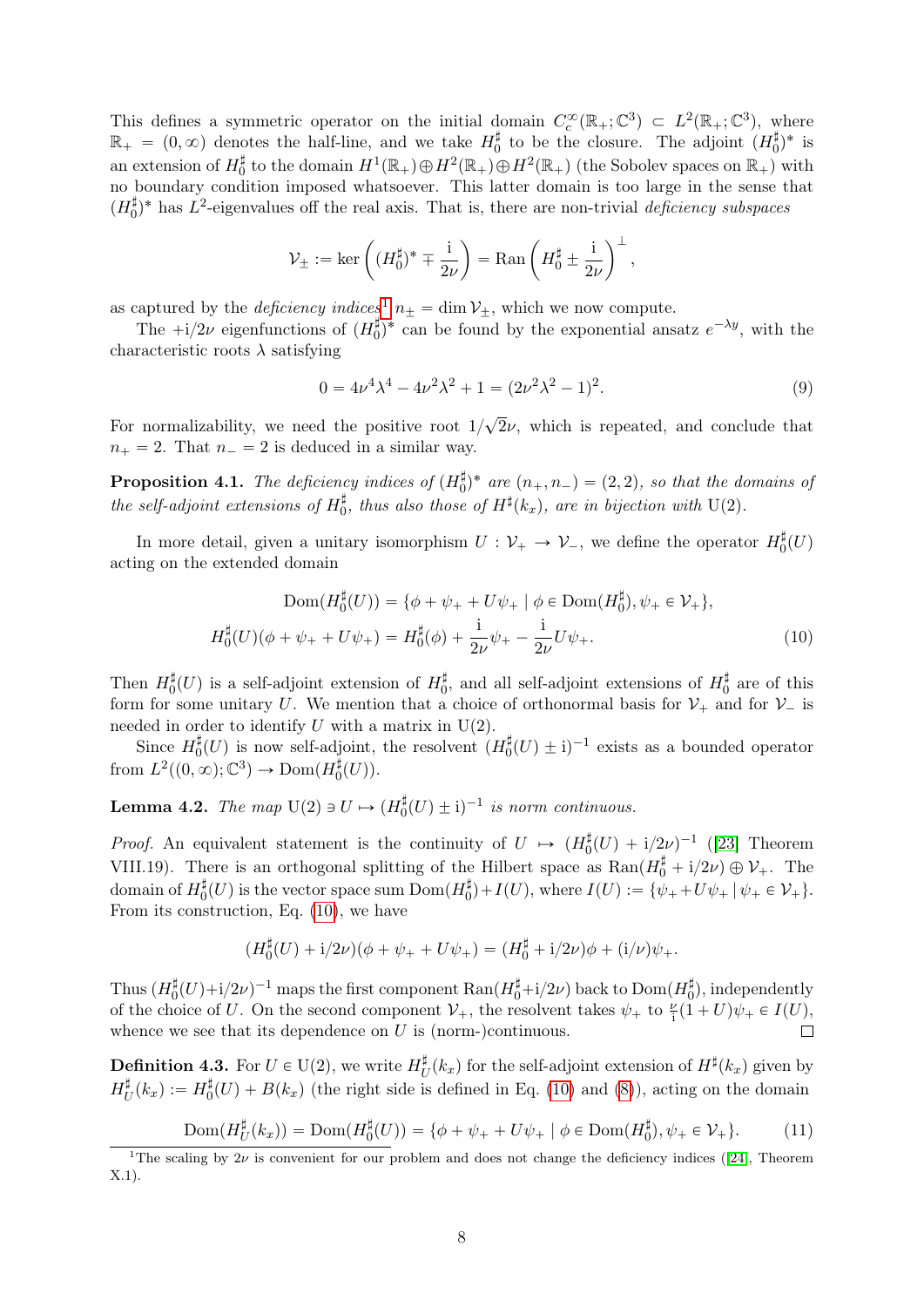This defines a symmetric operator on the initial domain  $C_c^{\infty}(\mathbb{R}_+;\mathbb{C}^3) \subset L^2(\mathbb{R}_+;\mathbb{C}^3)$ , where  $\mathbb{R}_+ = (0, \infty)$  denotes the half-line, and we take  $H_0^{\sharp}$  to be the closure. The adjoint  $(H_0^{\sharp})^*$  is an extension of  $H_0^{\sharp}$  to the domain  $H^1(\mathbb{R}_+) \oplus H^2(\mathbb{R}_+) \oplus H^2(\mathbb{R}_+)$  (the Sobolev spaces on  $\mathbb{R}_+$ ) with no boundary condition imposed whatsoever. This latter domain is too large in the sense that  $(H_0^{\sharp})^*$  has  $L^2$ -eigenvalues off the real axis. That is, there are non-trivial deficiency subspaces

$$
\mathcal{V}_{\pm}:=\ker\left((H_0^{\sharp})^*\mp\frac{\mathrm{i}}{2\nu}\right)=\mathrm{Ran}\left(H_0^{\sharp}\pm\frac{\mathrm{i}}{2\nu}\right)^{\perp},
$$

as captured by the *deficiency indices*<sup>[1](#page-7-0)</sup>  $n_{\pm} = \dim \mathcal{V}_{\pm}$ , which we now compute.

The  $+i/2\nu$  eigenfunctions of  $(H_0^{\sharp})^*$  can be found by the exponential ansatz  $e^{-\lambda y}$ , with the characteristic roots  $\lambda$  satisfying

<span id="page-7-1"></span>
$$
0 = 4\nu^4 \lambda^4 - 4\nu^2 \lambda^2 + 1 = (2\nu^2 \lambda^2 - 1)^2.
$$
 (9)

For normalizability, we need the positive root  $1/$ ?  $2\nu$ , which is repeated, and conclude that  $n_+ = 2$ . That  $n_- = 2$  is deduced in a similar way.

**Proposition 4.1.** The deficiency indices of  $(H_0^{\sharp})^*$  are  $(n_+, n_-) = (2, 2)$ , so that the domains of the self-adjoint extensions of  $H_0^{\sharp}$ , thus also those of  $H^{\sharp}(k_x)$ , are in bijection with U(2).

In more detail, given a unitary isomorphism  $U: \mathcal{V}_+ \to \mathcal{V}_-$ , we define the operator  $H_0^{\sharp}(U)$ acting on the extended domain

$$
\text{Dom}(H_0^{\sharp}(U)) = \{ \phi + \psi_+ + U\psi_+ \mid \phi \in \text{Dom}(H_0^{\sharp}), \psi_+ \in \mathcal{V}_+ \},
$$
  

$$
H_0^{\sharp}(U)(\phi + \psi_+ + U\psi_+) = H_0^{\sharp}(\phi) + \frac{\mathrm{i}}{2\nu}\psi_+ - \frac{\mathrm{i}}{2\nu}U\psi_+.
$$
 (10)

Then  $H_0^{\sharp}(U)$  is a self-adjoint extension of  $H_0^{\sharp}$ , and all self-adjoint extensions of  $H_0^{\sharp}$  are of this form for some unitary U. We mention that a choice of orthonormal basis for  $\mathcal{V}_+$  and for  $\mathcal{V}_-$  is needed in order to identify  $U$  with a matrix in  $U(2)$ .

Since  $H_0^{\sharp}(U)$  is now self-adjoint, the resolvent  $(H_0^{\sharp}(U) \pm i)^{-1}$  exists as a bounded operator from  $L^2((0,\infty);\mathbb{C}^3)\to \text{Dom}(H_0^{\sharp}(U)).$ 

<span id="page-7-2"></span>**Lemma 4.2.** The map  $U(2) \ni U \mapsto (H_0^{\sharp}(U) \pm i)^{-1}$  is norm continuous.

*Proof.* An equivalent statement is the continuity of  $U \rightarrow (H_0^{\sharp}(U) + i/2\nu)^{-1}$  ([\[23\]](#page-19-17) Theorem VIII.19). There is an orthogonal splitting of the Hilbert space as  $\text{Ran}(H_0^{\sharp} + i/2\nu) \oplus \mathcal{V}_+$ . The domain of  $H_0^{\sharp}(U)$  is the vector space sum  $Dom(H_0^{\sharp})+I(U)$ , where  $I(U):=\{\psi_++U\psi_+\mid \psi_+\in \mathcal{V}_+\}$ . From its construction, Eq. [\(10\)](#page-7-1), we have

$$
(H_0^{\sharp}(U) + i/2\nu)(\phi + \psi_+ + U\psi_+) = (H_0^{\sharp} + i/2\nu)\phi + (i/\nu)\psi_+.
$$

Thus  $(H_0^{\sharp}(U)+i/2\nu)^{-1}$  maps the first component  $\text{Ran}(H_0^{\sharp}+i/2\nu)$  back to  $\text{Dom}(H_0^{\sharp})$ , independently of the choice of U. On the second component  $\mathcal{V}_+$ , the resolvent takes  $\psi_+$  to  $\frac{\nu}{i}(1+U)\psi_+ \in I(U)$ , whence we see that its dependence on  $U$  is (norm-)continuous.

<span id="page-7-3"></span>**Definition 4.3.** For  $U \in U(2)$ , we write  $H_l^{\sharp}$  $U^{\sharp}(k_x)$  for the self-adjoint extension of  $H^{\sharp}(k_x)$  given by  $H^\sharp_l$  $\mathcal{L}_U^{\sharp}(k_x) := H_0^{\sharp}(U) + B(k_x)$  (the right side is defined in Eq. [\(10\)](#page-7-1) and [\(8\)](#page-6-2)), acting on the domain

$$
\underline{\mathrm{Dom}(H_U^{\sharp}(k_x))} = \underline{\mathrm{Dom}(H_0^{\sharp}(U))} = \{ \phi + \psi_+ + U\psi_+ \mid \phi \in \mathrm{Dom}(H_0^{\sharp}), \psi_+ \in \mathcal{V}_+ \}. \tag{11}
$$

<span id="page-7-0"></span><sup>&</sup>lt;sup>1</sup>The scaling by  $2\nu$  is convenient for our problem and does not change the deficiency indices ([\[24\]](#page-19-16), Theorem X.1).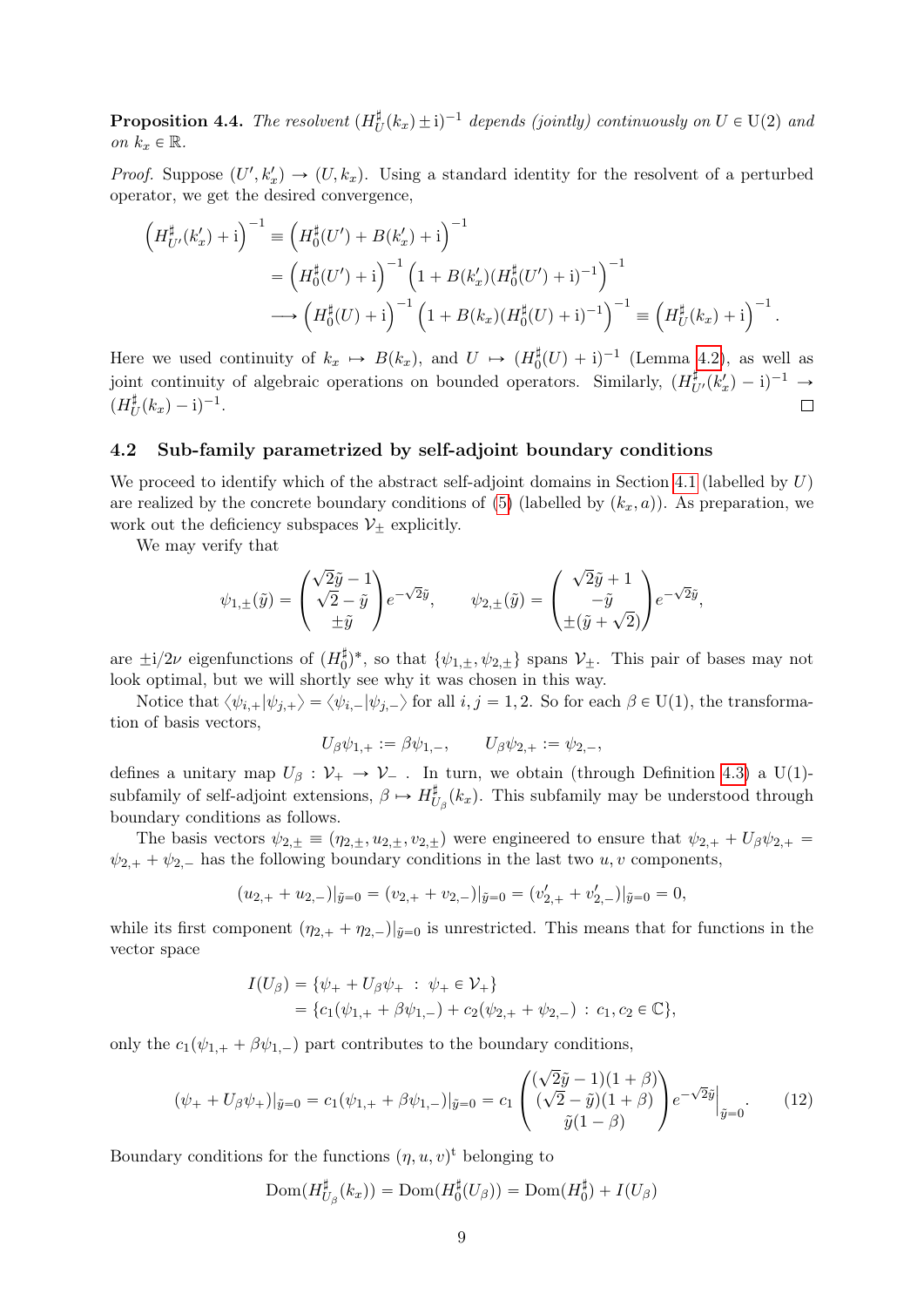<span id="page-8-1"></span>**Proposition 4.4.** The resolvent  $(H_l^{\sharp}$  $\psi^{\sharp}_{U}(k_{x}) \pm i)^{-1}$  depends (jointly) continuously on  $U \in U(2)$  and on  $k_x \in \mathbb{R}$ .

*Proof.* Suppose  $(U', k'_x) \to (U, k_x)$ . Using a standard identity for the resolvent of a perturbed operator, we get the desired convergence,

$$
\left(H_{U'}^{\sharp}(k'_{x})+i\right)^{-1} \equiv \left(H_{0}^{\sharp}(U')+B(k'_{x})+i\right)^{-1}
$$
  
= 
$$
\left(H_{0}^{\sharp}(U')+i\right)^{-1}\left(1+B(k'_{x})(H_{0}^{\sharp}(U')+i)^{-1}\right)^{-1}
$$
  

$$
\longrightarrow \left(H_{0}^{\sharp}(U)+i\right)^{-1}\left(1+B(k_{x})(H_{0}^{\sharp}(U)+i)^{-1}\right)^{-1} \equiv \left(H_{U}^{\sharp}(k_{x})+i\right)^{-1}.
$$

Here we used continuity of  $k_x \mapsto B(k_x)$ , and  $U \mapsto (H_0^{\sharp}(U) + i)^{-1}$  (Lemma [4.2\)](#page-7-2), as well as joint continuity of algebraic operations on bounded operators. Similarly,  $(H_{U'}^{\sharp}(k'_{x}) - i)^{-1} \rightarrow$  $(H^\sharp_l$  $_{U}^{\sharp}(k_{x})-{\rm i})^{-1}.$  $\Box$ 

### 4.2 Sub-family parametrized by self-adjoint boundary conditions

We proceed to identify which of the abstract self-adjoint domains in Section [4.1](#page-6-3) (labelled by  $U$ ) are realized by the concrete boundary conditions of [\(5\)](#page-3-1) (labelled by  $(k_x, a)$ ). As preparation, we work out the deficiency subspaces  $\mathcal{V}_+$  explicitly.

We may verify that

$$
\psi_{1,\pm}(\tilde{y}) = \begin{pmatrix} \sqrt{2}\tilde{y} - 1 \\ \sqrt{2} - \tilde{y} \\ \pm \tilde{y} \end{pmatrix} e^{-\sqrt{2}\tilde{y}}, \qquad \psi_{2,\pm}(\tilde{y}) = \begin{pmatrix} \sqrt{2}\tilde{y} + 1 \\ -\tilde{y} \\ \pm(\tilde{y} + \sqrt{2}) \end{pmatrix} e^{-\sqrt{2}\tilde{y}},
$$

are  $\pm i/2\nu$  eigenfunctions of  $(H_0^{\sharp})^*$ , so that  $\{\psi_{1,\pm}, \psi_{2,\pm}\}$  spans  $\mathcal{V}_{\pm}$ . This pair of bases may not look optimal, but we will shortly see why it was chosen in this way.

Notice that  $\langle \psi_{i,+}|\psi_{j,+}\rangle = \langle \psi_{i,-}|\psi_{j,-}\rangle$  for all  $i, j = 1, 2$ . So for each  $\beta \in U(1)$ , the transformation of basis vectors,

 $U_{\beta}\psi_{1,+} := \beta\psi_{1,-}, \qquad U_{\beta}\psi_{2,+} := \psi_{2,-},$ 

defines a unitary map  $U_\beta : \mathcal{V}_+ \to \mathcal{V}_-$ . In turn, we obtain (through Definition [4.3\)](#page-7-3) a U(1)subfamily of self-adjoint extensions,  $\beta \mapsto H_l^{\sharp}$  $\mathcal{U}_{\beta}(k_x)$ . This subfamily may be understood through boundary conditions as follows.

The basis vectors  $\psi_{2,\pm} \equiv (\eta_{2,\pm}, u_{2,\pm}, v_{2,\pm})$  were engineered to ensure that  $\psi_{2,+} + U_\beta \psi_{2,+} =$  $\psi_{2,+} + \psi_{2,-}$  has the following boundary conditions in the last two  $u, v$  components,

$$
(u_{2,+} + u_{2,-})|_{\tilde{y}=0} = (v_{2,+} + v_{2,-})|_{\tilde{y}=0} = (v'_{2,+} + v'_{2,-})|_{\tilde{y}=0} = 0,
$$

while its first component  $(\eta_{2,+} + \eta_{2,-})|_{\tilde{y}=0}$  is unrestricted. This means that for functions in the vector space

$$
I(U_{\beta}) = \{ \psi_{+} + U_{\beta} \psi_{+} : \psi_{+} \in \mathcal{V}_{+} \}= \{ c_{1}(\psi_{1,+} + \beta \psi_{1,-}) + c_{2}(\psi_{2,+} + \psi_{2,-}) : c_{1}, c_{2} \in \mathbb{C} \},\
$$

only the  $c_1(\psi_{1,+} + \beta \psi_{1,-})$  part contributes to the boundary conditions,

<span id="page-8-0"></span>
$$
(\psi_{+} + U_{\beta}\psi_{+})|_{\tilde{y}=0} = c_{1}(\psi_{1,+} + \beta\psi_{1,-})|_{\tilde{y}=0} = c_{1} \begin{pmatrix} (\sqrt{2}\tilde{y} - 1)(1+\beta) \\ (\sqrt{2} - \tilde{y})(1+\beta) \\ \tilde{y}(1-\beta) \end{pmatrix} e^{-\sqrt{2}\tilde{y}}|_{\tilde{y}=0}.
$$
 (12)

Boundary conditions for the functions  $(\eta, u, v)$ <sup>t</sup> belonging to

$$
\mathrm{Dom}(H_{U_{\beta}}^\sharp(k_x)) = \mathrm{Dom}(H_0^\sharp(U_\beta)) = \mathrm{Dom}(H_0^\sharp) + I(U_\beta)
$$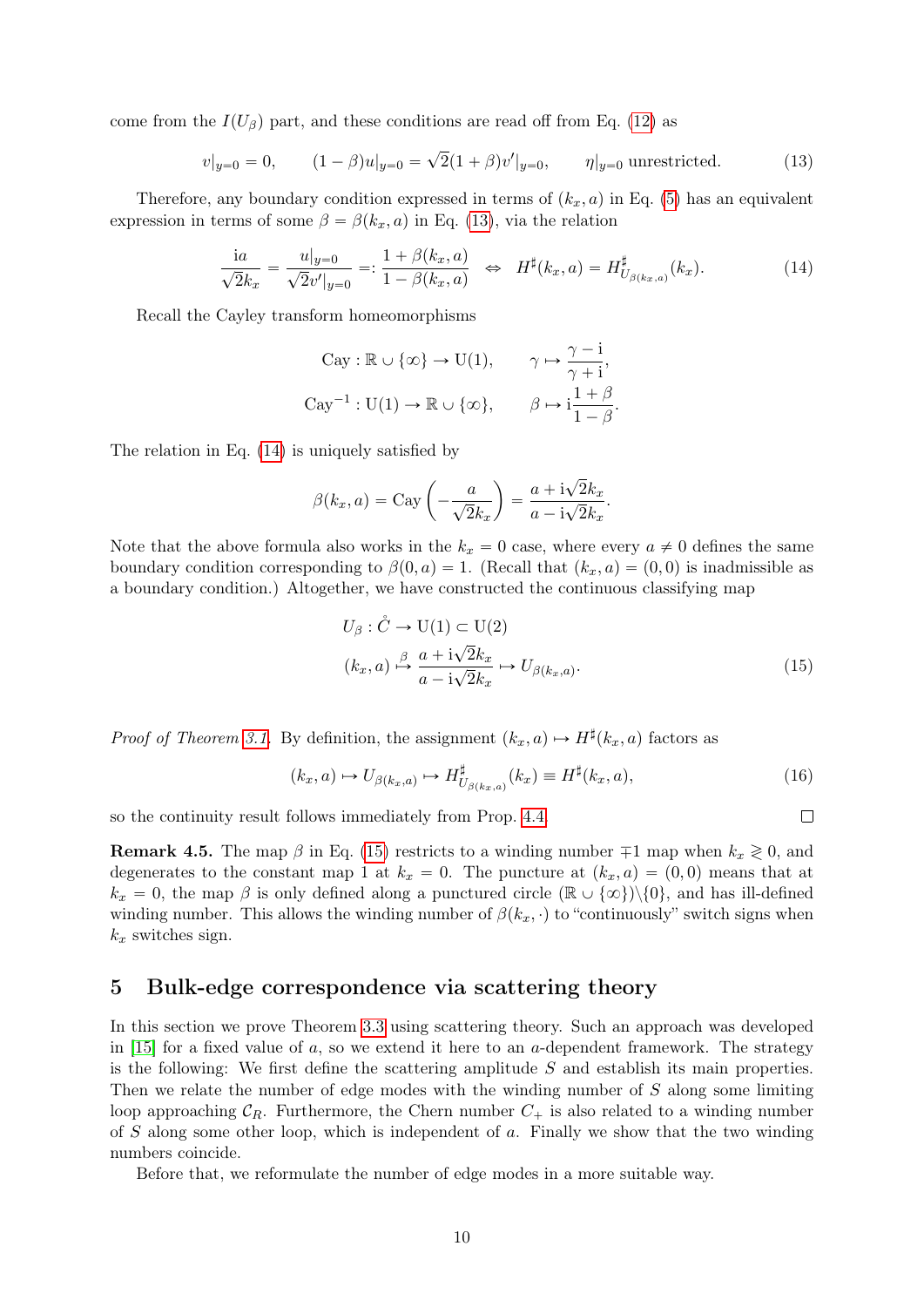come from the  $I(U_\beta)$  part, and these conditions are read off from Eq. [\(12\)](#page-8-0) as

<span id="page-9-2"></span>
$$
v|_{y=0} = 0, \t(1-\beta)u|_{y=0} = \sqrt{2}(1+\beta)v'|_{y=0}, \t\eta|_{y=0} \text{ unrestricted.}
$$
\t(13)

Therefore, any boundary condition expressed in terms of  $(k_x, a)$  in Eq. [\(5\)](#page-3-1) has an equivalent expression in terms of some  $\beta = \beta(k_x, a)$  in Eq. [\(13\)](#page-9-2), via the relation

<span id="page-9-3"></span>
$$
\frac{ia}{\sqrt{2}k_x} = \frac{u|_{y=0}}{\sqrt{2}v'|_{y=0}} =: \frac{1 + \beta(k_x, a)}{1 - \beta(k_x, a)} \iff H^{\sharp}(k_x, a) = H^{\sharp}_{U_{\beta(k_x, a)}}(k_x). \tag{14}
$$

Recall the Cayley transform homeomorphisms

$$
\text{Cay} : \mathbb{R} \cup \{ \infty \} \to \text{U}(1), \qquad \gamma \mapsto \frac{\gamma - i}{\gamma + i},
$$

$$
\text{Cay}^{-1} : \text{U}(1) \to \mathbb{R} \cup \{ \infty \}, \qquad \beta \mapsto i\frac{1+\beta}{1-\beta}.
$$

The relation in Eq. [\(14\)](#page-9-3) is uniquely satisfied by

$$
\beta(k_x, a) = \text{Cay}\left(-\frac{a}{\sqrt{2}k_x}\right) = \frac{a + i\sqrt{2}k_x}{a - i\sqrt{2}k_x}.
$$

Note that the above formula also works in the  $k_x = 0$  case, where every  $a \neq 0$  defines the same boundary condition corresponding to  $\beta(0, a) = 1$ . (Recall that  $(k_x, a) = (0, 0)$  is inadmissible as a boundary condition.) Altogether, we have constructed the continuous classifying map

$$
U_{\beta}: \mathring{C} \to \mathcal{U}(1) \subset \mathcal{U}(2)
$$
  
\n
$$
(k_x, a) \xrightarrow{\beta} \frac{a + i\sqrt{2}k_x}{a - i\sqrt{2}k_x} \mapsto U_{\beta(k_x, a)}.
$$
\n(15)

*Proof of Theorem [3.1.](#page-3-2)* By definition, the assignment  $(k_x, a) \mapsto H^{\sharp}(k_x, a)$  factors as

<span id="page-9-1"></span>
$$
(k_x, a) \mapsto U_{\beta(k_x, a)} \mapsto H_{U_{\beta(k_x, a)}}^{\sharp}(k_x) \equiv H^{\sharp}(k_x, a), \tag{16}
$$

<span id="page-9-4"></span> $\Box$ 

so the continuity result follows immediately from Prop. [4.4.](#page-8-1)

**Remark 4.5.** The map  $\beta$  in Eq. [\(15\)](#page-9-4) restricts to a winding number  $\mp 1$  map when  $k_x \ge 0$ , and degenerates to the constant map 1 at  $k_x = 0$ . The puncture at  $(k_x, a) = (0, 0)$  means that at  $k_x = 0$ , the map  $\beta$  is only defined along a punctured circle  $(\mathbb{R} \cup {\infty})\setminus\{0\}$ , and has ill-defined winding number. This allows the winding number of  $\beta(k_x, \cdot)$  to "continuously" switch signs when  $k_x$  switches sign.

# <span id="page-9-0"></span>5 Bulk-edge correspondence via scattering theory

In this section we prove Theorem [3.3](#page-5-0) using scattering theory. Such an approach was developed in  $[15]$  for a fixed value of a, so we extend it here to an a-dependent framework. The strategy is the following: We first define the scattering amplitude  $S$  and establish its main properties. Then we relate the number of edge modes with the winding number of S along some limiting loop approaching  $C_R$ . Furthermore, the Chern number  $C_+$  is also related to a winding number of S along some other loop, which is independent of a. Finally we show that the two winding numbers coincide.

Before that, we reformulate the number of edge modes in a more suitable way.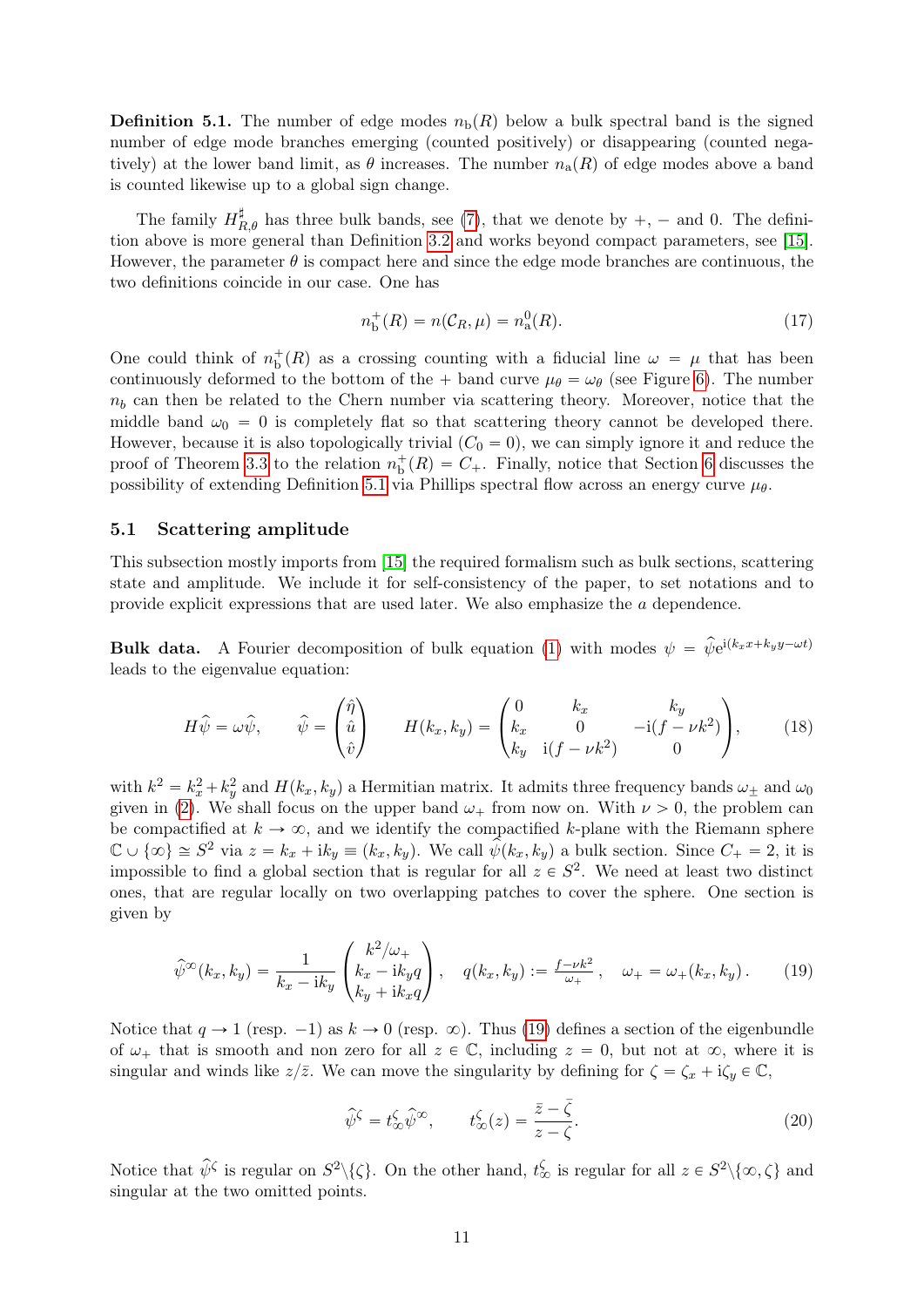<span id="page-10-0"></span>**Definition 5.1.** The number of edge modes  $n_b(R)$  below a bulk spectral band is the signed number of edge mode branches emerging (counted positively) or disappearing (counted negatively) at the lower band limit, as  $\theta$  increases. The number  $n_a(R)$  of edge modes above a band is counted likewise up to a global sign change.

The family  $H_{R,\theta}^{\sharp}$  has three bulk bands, see [\(7\)](#page-4-2), that we denote by  $+$ ,  $-$  and 0. The definition above is more general than Definition [3.2](#page-4-3) and works beyond compact parameters, see [\[15\]](#page-19-10). However, the parameter  $\theta$  is compact here and since the edge mode branches are continuous, the two definitions coincide in our case. One has

<span id="page-10-2"></span>
$$
n_{\rm b}^+(R) = n(C_R, \mu) = n_a^0(R). \tag{17}
$$

One could think of  $n_b^+(R)$  as a crossing counting with a fiducial line  $\omega = \mu$  that has been continuously deformed to the bottom of the  $+$  band curve  $\mu_{\theta} = \omega_{\theta}$  (see Figure [6\)](#page-15-2). The number  $n_b$  can then be related to the Chern number via scattering theory. Moreover, notice that the middle band  $\omega_0 = 0$  is completely flat so that scattering theory cannot be developed there. However, because it is also topologically trivial  $(C_0 = 0)$ , we can simply ignore it and reduce the proof of Theorem [3.3](#page-5-0) to the relation  $n_b^+(R) = C_+$ . Finally, notice that Section [6](#page-15-0) discusses the possibility of extending Definition [5.1](#page-10-0) via Phillips spectral flow across an energy curve  $\mu_{\theta}$ .

### 5.1 Scattering amplitude

This subsection mostly imports from [\[15\]](#page-19-10) the required formalism such as bulk sections, scattering state and amplitude. We include it for self-consistency of the paper, to set notations and to provide explicit expressions that are used later. We also emphasize the a dependence.

**Bulk data.** A Fourier decomposition of bulk equation [\(1\)](#page-2-2) with modes  $\psi = \hat{\psi}e^{i(k_x x + k_y y - \omega t)}$ leads to the eigenvalue equation:

$$
H\hat{\psi} = \omega \hat{\psi}, \qquad \hat{\psi} = \begin{pmatrix} \hat{\eta} \\ \hat{u} \\ \hat{v} \end{pmatrix} \qquad H(k_x, k_y) = \begin{pmatrix} 0 & k_x & k_y \\ k_x & 0 & -\mathrm{i}(f - \nu k^2) \\ k_y & \mathrm{i}(f - \nu k^2) & 0 \end{pmatrix}, \tag{18}
$$

with  $k^2 = k_x^2 + k_y^2$  and  $H(k_x, k_y)$  a Hermitian matrix. It admits three frequency bands  $\omega_{\pm}$  and  $\omega_0$ given in [\(2\)](#page-2-3). We shall focus on the upper band  $\omega_+$  from now on. With  $\nu > 0$ , the problem can be compactified at  $k \to \infty$ , and we identify the compactified k-plane with the Riemann sphere  $\mathbb{C} \cup \{\infty\} \cong S^2$  via  $z = k_x + ik_y \equiv (k_x, k_y)$ . We call  $\hat{\psi}(k_x, k_y)$  a bulk section. Since  $C_+ = 2$ , it is impossible to find a global section that is regular for all  $z \in S^2$ . We need at least two distinct ones, that are regular locally on two overlapping patches to cover the sphere. One section is given by

<span id="page-10-1"></span>
$$
\hat{\psi}^{\infty}(k_x, k_y) = \frac{1}{k_x - ik_y} \begin{pmatrix} k^2/\omega_+ \\ k_x - ik_y q \\ k_y + ik_x q \end{pmatrix}, \quad q(k_x, k_y) := \frac{f - \nu k^2}{\omega_+}, \quad \omega_+ = \omega_+(k_x, k_y). \tag{19}
$$

Notice that  $q \to 1$  (resp.  $-1$ ) as  $k \to 0$  (resp.  $\infty$ ). Thus [\(19\)](#page-10-1) defines a section of the eigenbundle of  $\omega_+$  that is smooth and non zero for all  $z \in \mathbb{C}$ , including  $z = 0$ , but not at  $\infty$ , where it is singular and winds like  $z/\overline{z}$ . We can move the singularity by defining for  $\zeta = \zeta_x + i\zeta_y \in \mathbb{C}$ ,

$$
\widehat{\psi}^{\zeta} = t_{\infty}^{\zeta} \widehat{\psi}^{\infty}, \qquad t_{\infty}^{\zeta}(z) = \frac{\overline{z} - \overline{\zeta}}{z - \zeta}.
$$
\n(20)

Notice that  $\hat{\psi}^{\zeta}$  is regular on  $S^2 \setminus {\zeta}$ . On the other hand,  $t_{\infty}^{\zeta}$  is regular for all  $z \in S^2 \setminus {\{\infty, \zeta\}}$  and singular at the two omitted points.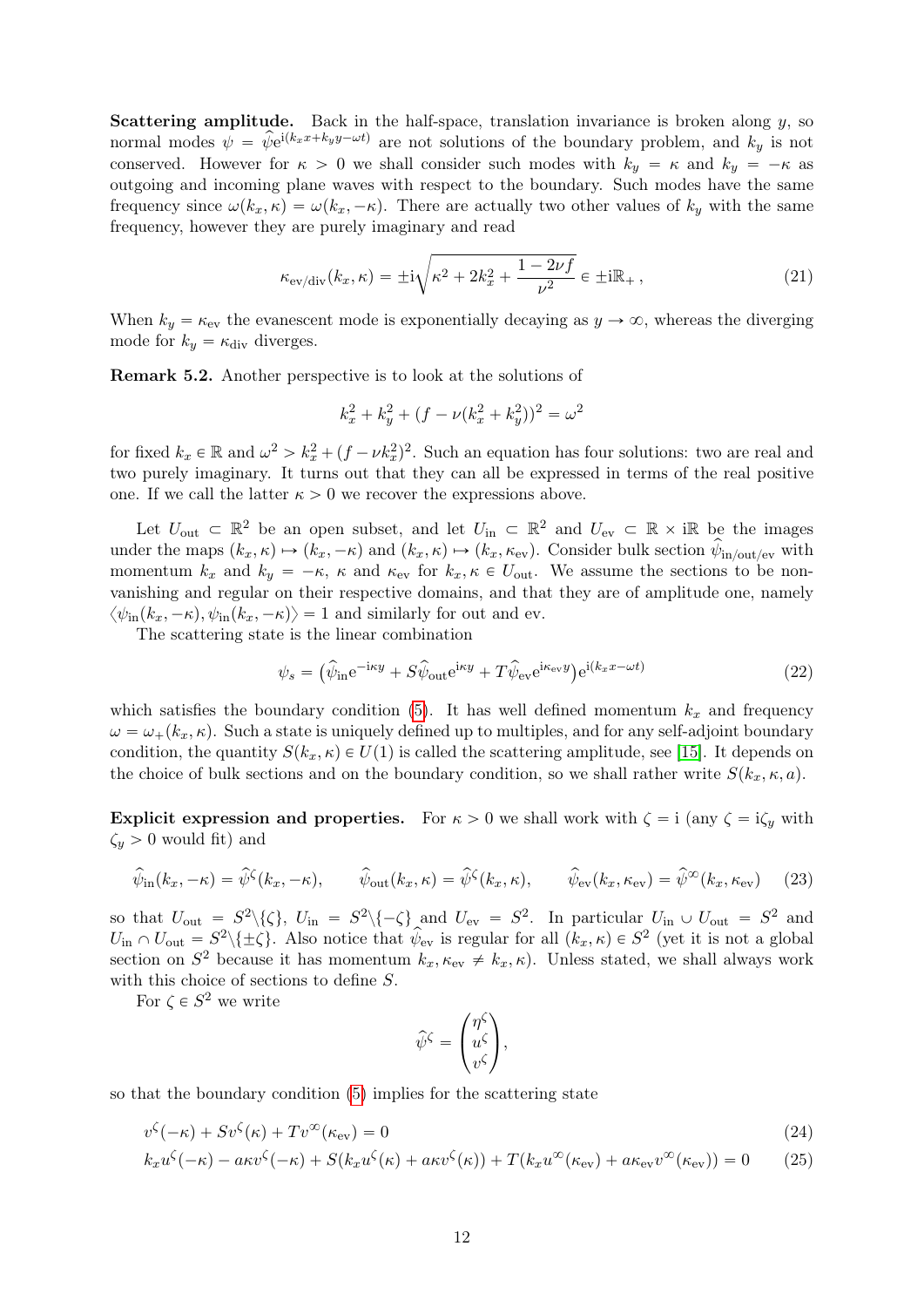**Scattering amplitude.** Back in the half-space, translation invariance is broken along  $y$ , so normal modes  $\psi = \hat{\psi}e^{i(k_x x + k_y y - \omega t)}$  are not solutions of the boundary problem, and  $k_y$  is not conserved. However for  $\kappa > 0$  we shall consider such modes with  $k_y = \kappa$  and  $k_y = -\kappa$  as outgoing and incoming plane waves with respect to the boundary. Such modes have the same frequency since  $\omega(k_x, \kappa) = \omega(k_x, -\kappa)$ . There are actually two other values of  $k_y$  with the same frequency, however they are purely imaginary and read

<span id="page-11-0"></span>
$$
\kappa_{\text{ev}/\text{div}}(k_x, \kappa) = \pm i \sqrt{\kappa^2 + 2k_x^2 + \frac{1 - 2\nu f}{\nu^2}} \in \pm i\mathbb{R}_+, \tag{21}
$$

When  $k_y = \kappa_{\text{ev}}$  the evanescent mode is exponentially decaying as  $y \to \infty$ , whereas the diverging mode for  $k_y = \kappa_{\rm div}$  diverges.

Remark 5.2. Another perspective is to look at the solutions of

$$
k_x^2 + k_y^2 + (f - \nu(k_x^2 + k_y^2))^2 = \omega^2
$$

for fixed  $k_x \in \mathbb{R}$  and  $\omega^2 > k_x^2 + (f - \nu k_x^2)^2$ . Such an equation has four solutions: two are real and two purely imaginary. It turns out that they can all be expressed in terms of the real positive one. If we call the latter  $\kappa > 0$  we recover the expressions above.

Let  $U_{\text{out}} \subset \mathbb{R}^2$  be an open subset, and let  $U_{\text{in}} \subset \mathbb{R}^2$  and  $U_{\text{ev}} \subset \mathbb{R} \times \mathbb{R}$  be the images under the maps  $(k_x, \kappa) \mapsto (k_x, -\kappa)$  and  $(k_x, \kappa) \mapsto (k_x, \kappa_{ev})$ . Consider bulk section  $\hat{\psi}_{\text{in}/\text{out}/\text{ev}}$  with momentum  $k_x$  and  $k_y = -\kappa$ ,  $\kappa$  and  $\kappa_{ev}$  for  $k_x, \kappa \in U_{\text{out}}$ . We assume the sections to be nonvanishing and regular on their respective domains, and that they are of amplitude one, namely  $\langle \psi_{\text{in}}(k_x, -\kappa), \psi_{\text{in}}(k_x, -\kappa) \rangle = 1$  and similarly for out and ev.

The scattering state is the linear combination

<span id="page-11-2"></span>
$$
\psi_s = \left(\hat{\psi}_{\text{in}}e^{-\mathrm{i}\kappa y} + S\hat{\psi}_{\text{out}}e^{\mathrm{i}\kappa y} + T\hat{\psi}_{\text{ev}}e^{\mathrm{i}\kappa_{\text{ev}}y}\right)e^{\mathrm{i}(k_x x - \omega t)}\tag{22}
$$

which satisfies the boundary condition [\(5\)](#page-3-1). It has well defined momentum  $k_x$  and frequency  $\omega = \omega_{+}(k_x, \kappa)$ . Such a state is uniquely defined up to multiples, and for any self-adjoint boundary condition, the quantity  $S(k_x, \kappa) \in U(1)$  is called the scattering amplitude, see [\[15\]](#page-19-10). It depends on the choice of bulk sections and on the boundary condition, so we shall rather write  $S(k_x, \kappa, a)$ .

**Explicit expression and properties.** For  $\kappa > 0$  we shall work with  $\zeta = i$  (any  $\zeta = i\zeta_y$  with  $\zeta_y > 0$  would fit) and

<span id="page-11-1"></span>
$$
\widehat{\psi}_{\rm in}(k_x, -\kappa) = \widehat{\psi}^{\zeta}(k_x, -\kappa), \qquad \widehat{\psi}_{\rm out}(k_x, \kappa) = \widehat{\psi}^{\zeta}(k_x, \kappa), \qquad \widehat{\psi}_{\rm ev}(k_x, \kappa_{\rm ev}) = \widehat{\psi}^{\infty}(k_x, \kappa_{\rm ev}) \tag{23}
$$

so that  $U_{\text{out}} = S^2 \setminus {\zeta}$ ,  $U_{\text{in}} = S^2 \setminus {\{-\zeta\}}$  and  $U_{\text{ev}} = S^2$ . In particular  $U_{\text{in}} \cup U_{\text{out}} = S^2$  and  $U_{\text{in}} \cap U_{\text{out}} = S^2 \setminus {\pm \zeta}.$  Also notice that  $\hat{\psi}_{\text{ev}}$  is regular for all  $(k_x, \kappa) \in S^2$  (yet it is not a global section on  $S^2$  because it has momentum  $k_x, \kappa_{ev} \neq k_x, \kappa$ ). Unless stated, we shall always work with this choice of sections to define S.

For  $\zeta \in S^2$  we write

$$
\widehat{\psi}^{\zeta} = \begin{pmatrix} \eta^{\zeta} \\ u^{\zeta} \\ v^{\zeta} \end{pmatrix},
$$

so that the boundary condition [\(5\)](#page-3-1) implies for the scattering state

$$
v^{\zeta}(-\kappa) + Sv^{\zeta}(\kappa) + Tv^{\infty}(\kappa_{\rm ev}) = 0
$$
\n(24)

$$
k_x u^{\zeta}(-\kappa) - a\kappa v^{\zeta}(-\kappa) + S(k_x u^{\zeta}(\kappa) + a\kappa v^{\zeta}(\kappa)) + T(k_x u^{\infty}(\kappa_{\text{ev}}) + a\kappa_{\text{ev}}v^{\infty}(\kappa_{\text{ev}})) = 0 \tag{25}
$$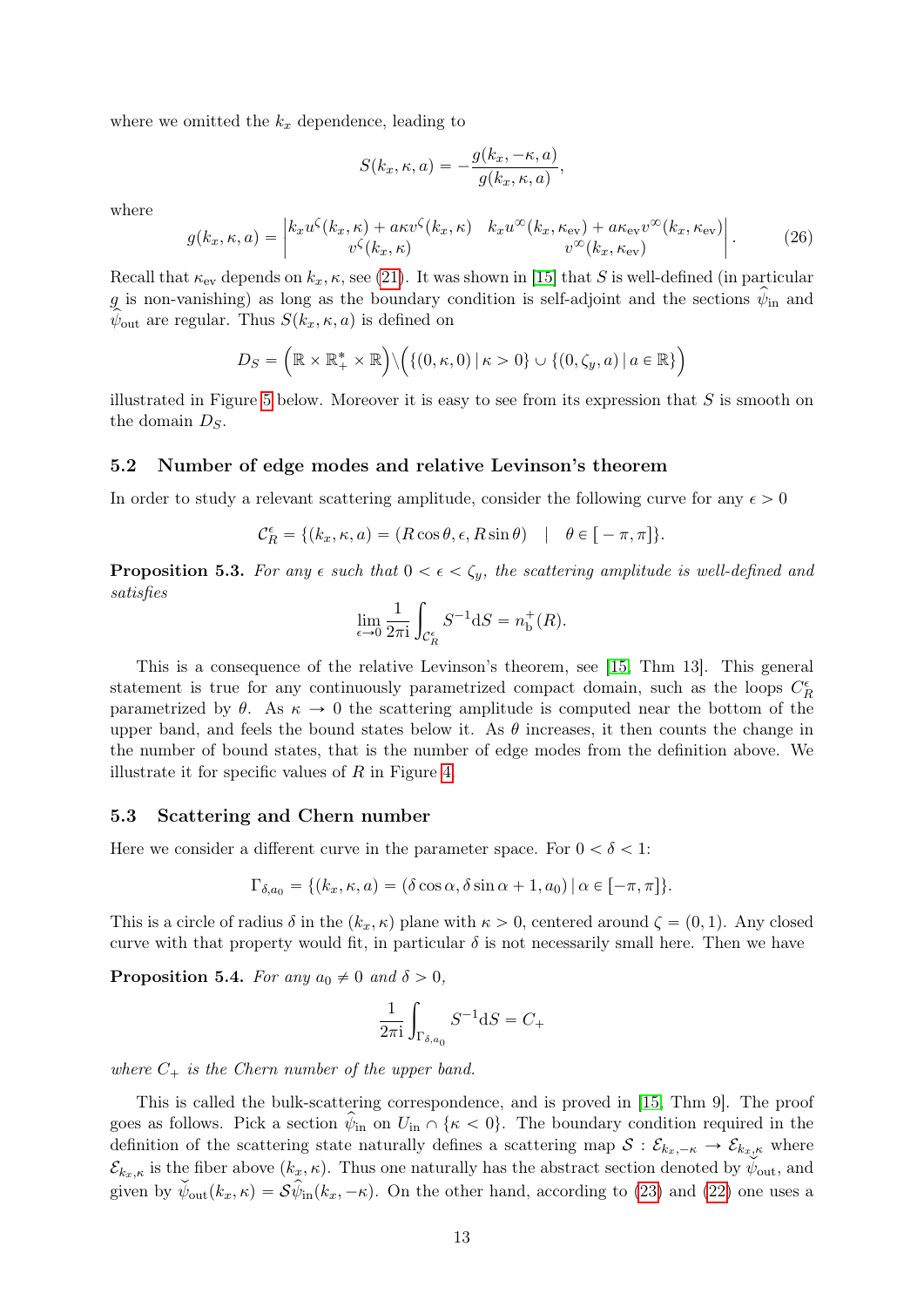where we omitted the  $k_x$  dependence, leading to

$$
S(k_x, \kappa, a) = -\frac{g(k_x, -\kappa, a)}{g(k_x, \kappa, a)},
$$

where

<span id="page-12-0"></span>
$$
g(k_x, \kappa, a) = \begin{vmatrix} k_x u^\zeta(k_x, \kappa) + a\kappa v^\zeta(k_x, \kappa) & k_x u^\infty(k_x, \kappa_{\rm ev}) + a\kappa_{\rm ev} v^\infty(k_x, \kappa_{\rm ev}) \\ v^\zeta(k_x, \kappa) & v^\infty(k_x, \kappa_{\rm ev}) \end{vmatrix} . \tag{26}
$$

Recall that  $\kappa_{ev}$  depends on  $k_x$ ,  $\kappa$ , see [\(21\)](#page-11-0). It was shown in [\[15\]](#page-19-10) that S is well-defined (in particular g is non-vanishing) as long as the boundary condition is self-adjoint and the sections  $\psi_{\rm in}$  and  $\psi_{\text{out}}$  are regular. Thus  $S(k_x, \kappa, a)$  is defined on

$$
D_S = \left(\mathbb{R} \times \mathbb{R}_+^* \times \mathbb{R}\right) \setminus \left( \left\{ (0, \kappa, 0) \, \middle| \, \kappa > 0 \right\} \cup \left\{ (0, \zeta_y, a) \, \middle| \, a \in \mathbb{R} \right\} \right)
$$

illustrated in Figure [5](#page-14-0) below. Moreover it is easy to see from its expression that  $S$  is smooth on the domain  $D<sub>S</sub>$ .

### 5.2 Number of edge modes and relative Levinson's theorem

In order to study a relevant scattering amplitude, consider the following curve for any  $\epsilon > 0$ 

$$
\mathcal{C}^{\epsilon}_{R} = \{ (k_x, \kappa, a) = (R \cos \theta, \epsilon, R \sin \theta) \mid \theta \in [-\pi, \pi] \}.
$$

<span id="page-12-1"></span>**Proposition 5.3.** For any  $\epsilon$  such that  $0 < \epsilon < \zeta_y$ , the scattering amplitude is well-defined and satisfies

$$
\lim_{\epsilon \to 0} \frac{1}{2\pi i} \int_{\mathcal{C}_R^{\epsilon}} S^{-1} dS = n_b^+(R).
$$

This is a consequence of the relative Levinson's theorem, see [\[15,](#page-19-10) Thm 13]. This general statement is true for any continuously parametrized compact domain, such as the loops  $C_R^{\epsilon}$ parametrized by  $\theta$ . As  $\kappa \to 0$  the scattering amplitude is computed near the bottom of the upper band, and feels the bound states below it. As  $\theta$  increases, it then counts the change in the number of bound states, that is the number of edge modes from the definition above. We illustrate it for specific values of  $R$  in Figure [4.](#page-13-0)

### 5.3 Scattering and Chern number

Here we consider a different curve in the parameter space. For  $0 < \delta < 1$ :

$$
\Gamma_{\delta,a_0} = \{ (k_x, \kappa, a) = (\delta \cos \alpha, \delta \sin \alpha + 1, a_0) \, | \, \alpha \in [-\pi, \pi] \}.
$$

This is a circle of radius  $\delta$  in the  $(k_x, \kappa)$  plane with  $\kappa > 0$ , centered around  $\zeta = (0, 1)$ . Any closed curve with that property would fit, in particular  $\delta$  is not necessarily small here. Then we have

**Proposition 5.4.** For any  $a_0 \neq 0$  and  $\delta > 0$ ,

$$
\frac{1}{2\pi i} \int_{\Gamma_{\delta,a_0}} S^{-1} dS = C_+
$$

where  $C_+$  is the Chern number of the upper band.

This is called the bulk-scattering correspondence, and is proved in [\[15,](#page-19-10) Thm 9]. The proof goes as follows. Pick a section  $\hat{\psi}_{in}$  on  $U_{in} \cap {\{\kappa < 0\}}$ . The boundary condition required in the definition of the scattering state naturally defines a scattering map  $S: \mathcal{E}_{k_x, -\kappa} \to \mathcal{E}_{k_x, \kappa}$  where  $\mathcal{E}_{k_x,\kappa}$  is the fiber above  $(k_x,\kappa)$ . Thus one naturally has the abstract section denoted by  $\psi_{\text{out}}$ , and given by  $\check{\psi}_{\text{out}}(k_x, \kappa) = \mathcal{S}\hat{\psi}_{\text{in}}(k_x, -\kappa)$ . On the other hand, according to [\(23\)](#page-11-1) and [\(22\)](#page-11-2) one uses a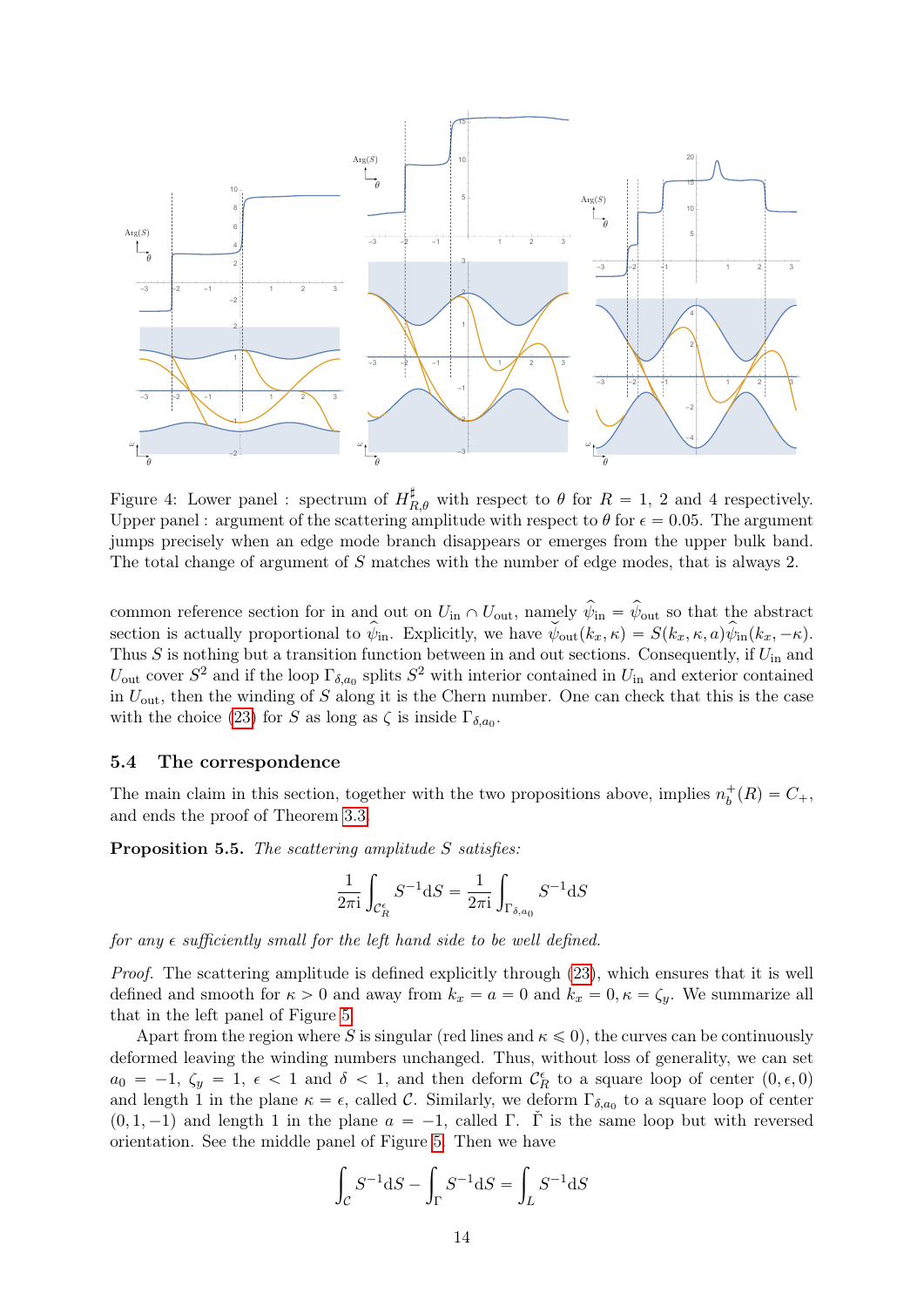

<span id="page-13-0"></span>Figure 4: Lower panel : spectrum of  $H_{R,\theta}^{\sharp}$  with respect to  $\theta$  for  $R = 1, 2$  and 4 respectively. Upper panel : argument of the scattering amplitude with respect to  $\theta$  for  $\epsilon = 0.05$ . The argument jumps precisely when an edge mode branch disappears or emerges from the upper bulk band. The total change of argument of S matches with the number of edge modes, that is always 2.

common reference section for in and out on  $U_{\text{in}} \cap U_{\text{out}}$ , namely  $\hat{\psi}_{\text{in}} = \hat{\psi}_{\text{out}}$  so that the abstract section is actually proportional to  $\hat{\psi}_{\text{in}}$ . Explicitly, we have  $\check{\psi}_{\text{out}}(k_x, \kappa) = S(k_x, \kappa, a)\hat{\psi}_{\text{in}}(k_x, -\kappa)$ . Thus  $S$  is nothing but a transition function between in and out sections. Consequently, if  $U_{\text{in}}$  and  $U_{\text{out}}$  cover  $S^2$  and if the loop  $\Gamma_{\delta,a_0}$  splits  $S^2$  with interior contained in  $U_{\text{in}}$  and exterior contained in  $U_{\text{out}}$ , then the winding of S along it is the Chern number. One can check that this is the case with the choice [\(23\)](#page-11-1) for S as long as  $\zeta$  is inside  $\Gamma_{\delta,a_0}$ .

### 5.4 The correspondence

The main claim in this section, together with the two propositions above, implies  $n_b^+(R) = C_+$ , and ends the proof of Theorem [3.3.](#page-5-0)

Proposition 5.5. The scattering amplitude S satisfies:

$$
\frac{1}{2\pi \mathrm{i}}\int_{\mathcal{C}_R^\epsilon} S^{-1}\mathrm{d} S = \frac{1}{2\pi \mathrm{i}}\int_{\Gamma_{\delta,a_0}} S^{-1}\mathrm{d} S
$$

for any  $\epsilon$  sufficiently small for the left hand side to be well defined.

Proof. The scattering amplitude is defined explicitly through [\(23\)](#page-11-1), which ensures that it is well defined and smooth for  $\kappa > 0$  and away from  $k_x = a = 0$  and  $k_x = 0, \kappa = \zeta_y$ . We summarize all that in the left panel of Figure [5.](#page-14-0)

Apart from the region where S is singular (red lines and  $\kappa \leq 0$ ), the curves can be continuously deformed leaving the winding numbers unchanged. Thus, without loss of generality, we can set  $a_0 = -1, \zeta_y = 1, \epsilon < 1$  and  $\delta < 1$ , and then deform  $\mathcal{C}_R^{\epsilon}$  to a square loop of center  $(0, \epsilon, 0)$ and length 1 in the plane  $\kappa = \epsilon$ , called C. Similarly, we deform  $\Gamma_{\delta,a_0}$  to a square loop of center  $(0, 1, -1)$  and length 1 in the plane  $a = -1$ , called Γ. Γ is the same loop but with reversed orientation. See the middle panel of Figure [5.](#page-14-0) Then we have

$$
\int_C S^{-1}dS - \int_\Gamma S^{-1}dS = \int_L S^{-1}dS
$$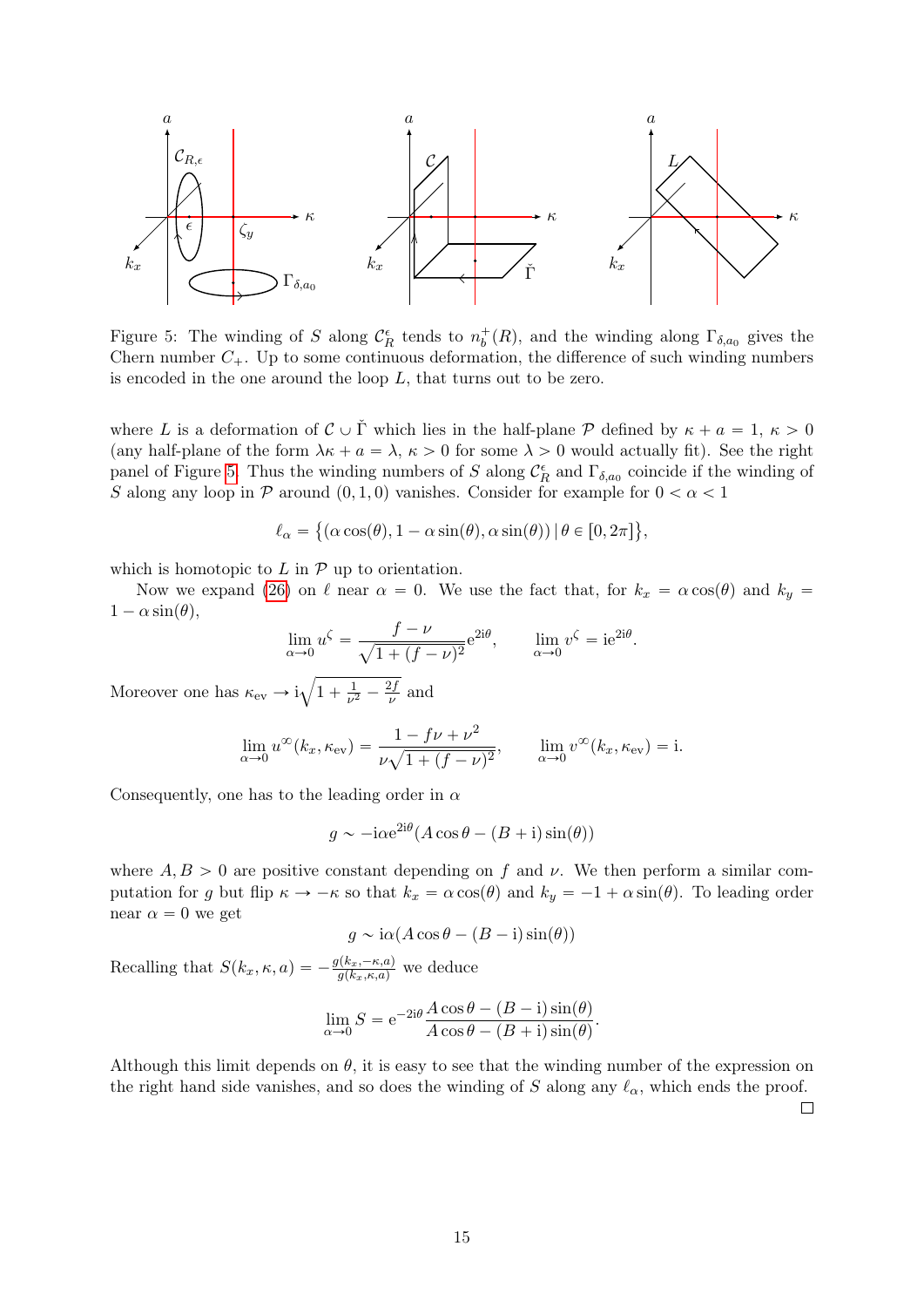

<span id="page-14-0"></span>Figure 5: The winding of S along  $\mathcal{C}_R^{\epsilon}$  tends to  $n_b^+(R)$ , and the winding along  $\Gamma_{\delta,a_0}$  gives the Chern number  $C_+$ . Up to some continuous deformation, the difference of such winding numbers is encoded in the one around the loop  $L$ , that turns out to be zero.

where L is a deformation of  $\mathcal{C} \cup \check{\Gamma}$  which lies in the half-plane  $\mathcal{P}$  defined by  $\kappa + a = 1, \kappa > 0$ (any half-plane of the form  $\lambda \kappa + a = \lambda, \kappa > 0$  for some  $\lambda > 0$  would actually fit). See the right panel of Figure [5.](#page-14-0) Thus the winding numbers of S along  $\mathcal{C}_R^{\epsilon}$  and  $\Gamma_{\delta,a_0}$  coincide if the winding of S along any loop in P around  $(0, 1, 0)$  vanishes. Consider for example for  $0 < \alpha < 1$ 

$$
\ell_{\alpha} = \{ (\alpha \cos(\theta), 1 - \alpha \sin(\theta), \alpha \sin(\theta)) \mid \theta \in [0, 2\pi] \},\
$$

which is homotopic to  $L$  in  $P$  up to orientation.

Now we expand [\(26\)](#page-12-0) on  $\ell$  near  $\alpha = 0$ . We use the fact that, for  $k_x = \alpha \cos(\theta)$  and  $k_y =$  $1 - \alpha \sin(\theta),$ 

$$
\lim_{\alpha \to 0} u^{\zeta} = \frac{f - \nu}{\sqrt{1 + (f - \nu)^2}} e^{2i\theta}, \qquad \lim_{\alpha \to 0} v^{\zeta} = i e^{2i\theta}.
$$

Moreover one has  $\kappa_{\rm ev} \rightarrow i$  $1 + \frac{1}{\nu^2}$  $rac{1}{\nu^2} - \frac{2f}{\nu}$  $\frac{2J}{\nu}$  and

$$
\lim_{\alpha \to 0} u^{\infty}(k_x, \kappa_{\text{ev}}) = \frac{1 - f\nu + \nu^2}{\nu \sqrt{1 + (f - \nu)^2}}, \qquad \lim_{\alpha \to 0} v^{\infty}(k_x, \kappa_{\text{ev}}) = i.
$$

Consequently, one has to the leading order in  $\alpha$ 

$$
g \sim -i\alpha e^{2i\theta} (A\cos\theta - (B+i)\sin(\theta))
$$

where  $A, B > 0$  are positive constant depending on f and v. We then perform a similar computation for g but flip  $\kappa \to -\kappa$  so that  $k_x = \alpha \cos(\theta)$  and  $k_y = -1 + \alpha \sin(\theta)$ . To leading order near  $\alpha = 0$  we get

$$
g \sim i\alpha (A\cos\theta - (B - i)\sin(\theta))
$$

Recalling that  $S(k_x, \kappa, a) = -\frac{g(k_x, -\kappa, a)}{g(k_x, \kappa, a)}$  we deduce

$$
\lim_{\alpha \to 0} S = e^{-2i\theta} \frac{A \cos \theta - (B - i) \sin(\theta)}{A \cos \theta - (B + i) \sin(\theta)}.
$$

Although this limit depends on  $\theta$ , it is easy to see that the winding number of the expression on the right hand side vanishes, and so does the winding of S along any  $\ell_{\alpha}$ , which ends the proof.  $\Box$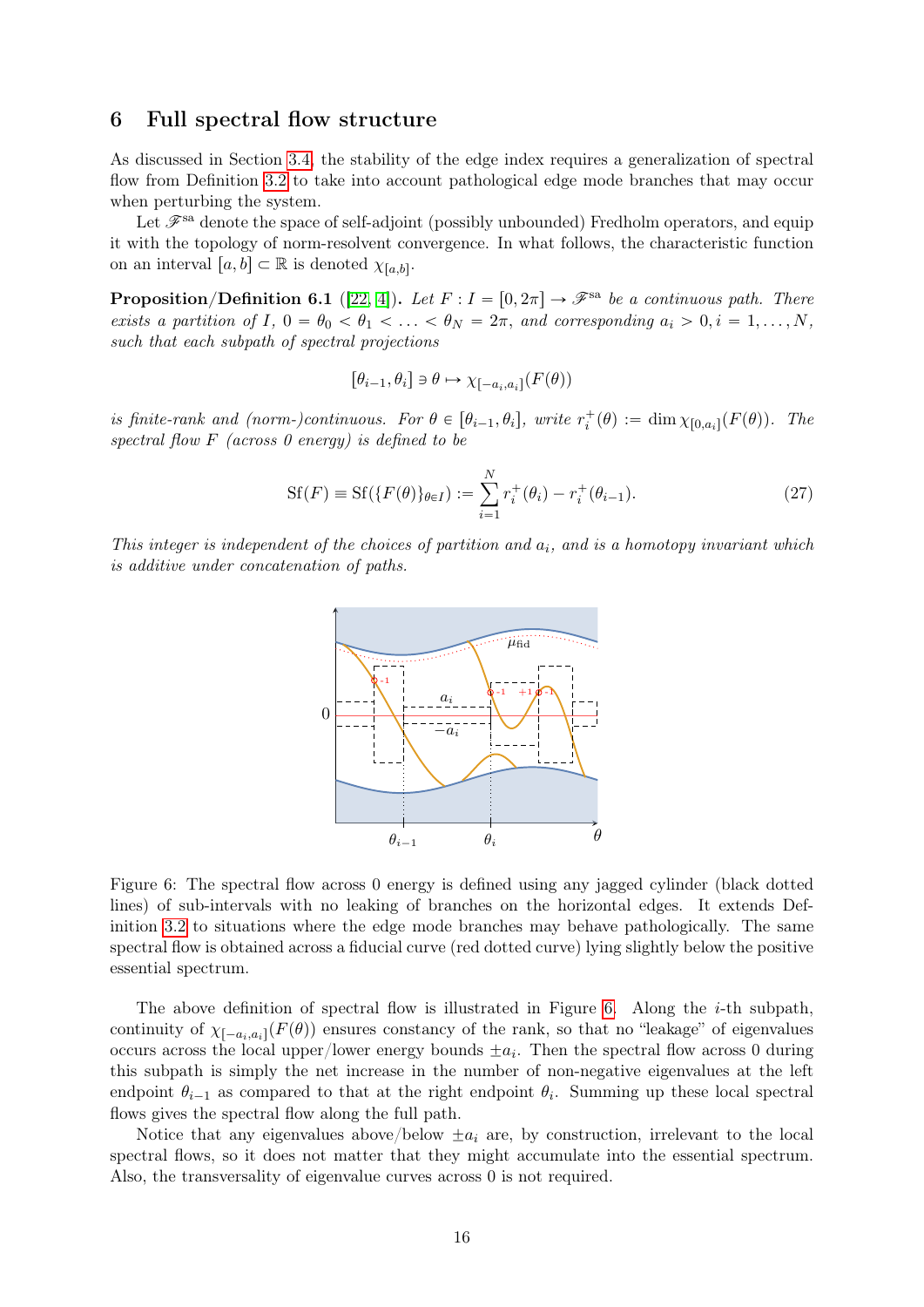### <span id="page-15-0"></span>6 Full spectral flow structure

As discussed in Section [3.4,](#page-5-2) the stability of the edge index requires a generalization of spectral flow from Definition [3.2](#page-4-3) to take into account pathological edge mode branches that may occur when perturbing the system.

Let  $\mathscr{F}^{\text{sa}}$  denote the space of self-adjoint (possibly unbounded) Fredholm operators, and equip it with the topology of norm-resolvent convergence. In what follows, the characteristic function on an interval  $[a, b] \subset \mathbb{R}$  is denoted  $\chi_{[a, b]}$ .

<span id="page-15-1"></span>**Proposition/Definition 6.1** ([\[22,](#page-19-15) [4\]](#page-18-8)). Let  $F: I = [0, 2\pi] \rightarrow \mathscr{F}^{\text{sa}}$  be a continuous path. There exists a partition of I,  $0 = \theta_0 < \theta_1 < \ldots < \theta_N = 2\pi$ , and corresponding  $a_i > 0, i = 1, \ldots, N$ , such that each subpath of spectral projections

$$
[\theta_{i-1}, \theta_i] \ni \theta \mapsto \chi_{[-a_i, a_i]}(F(\theta))
$$

is finite-rank and (norm-)continuous. For  $\theta \in [\theta_{i-1}, \theta_i]$ , write  $r_i^+(\theta) := \dim \chi_{[0, a_i]}(F(\theta))$ . The spectral flow  $F$  (across  $\theta$  energy) is defined to be

$$
Sf(F) \equiv Sf(\{F(\theta)\}_{\theta \in I}) := \sum_{i=1}^{N} r_i^+(\theta_i) - r_i^+(\theta_{i-1}).
$$
\n(27)

This integer is independent of the choices of partition and  $a_i$ , and is a homotopy invariant which is additive under concatenation of paths.



<span id="page-15-2"></span>Figure 6: The spectral flow across 0 energy is defined using any jagged cylinder (black dotted lines) of sub-intervals with no leaking of branches on the horizontal edges. It extends Definition [3.2](#page-4-3) to situations where the edge mode branches may behave pathologically. The same spectral flow is obtained across a fiducial curve (red dotted curve) lying slightly below the positive essential spectrum.

The above definition of spectral flow is illustrated in Figure [6.](#page-15-2) Along the  $i$ -th subpath, continuity of  $\chi_{[-a_i,a_i]}(F(\theta))$  ensures constancy of the rank, so that no "leakage" of eigenvalues occurs across the local upper/lower energy bounds  $\pm a_i$ . Then the spectral flow across 0 during this subpath is simply the net increase in the number of non-negative eigenvalues at the left endpoint  $\theta_{i-1}$  as compared to that at the right endpoint  $\theta_i$ . Summing up these local spectral flows gives the spectral flow along the full path.

Notice that any eigenvalues above/below  $\pm a_i$  are, by construction, irrelevant to the local spectral flows, so it does not matter that they might accumulate into the essential spectrum. Also, the transversality of eigenvalue curves across 0 is not required.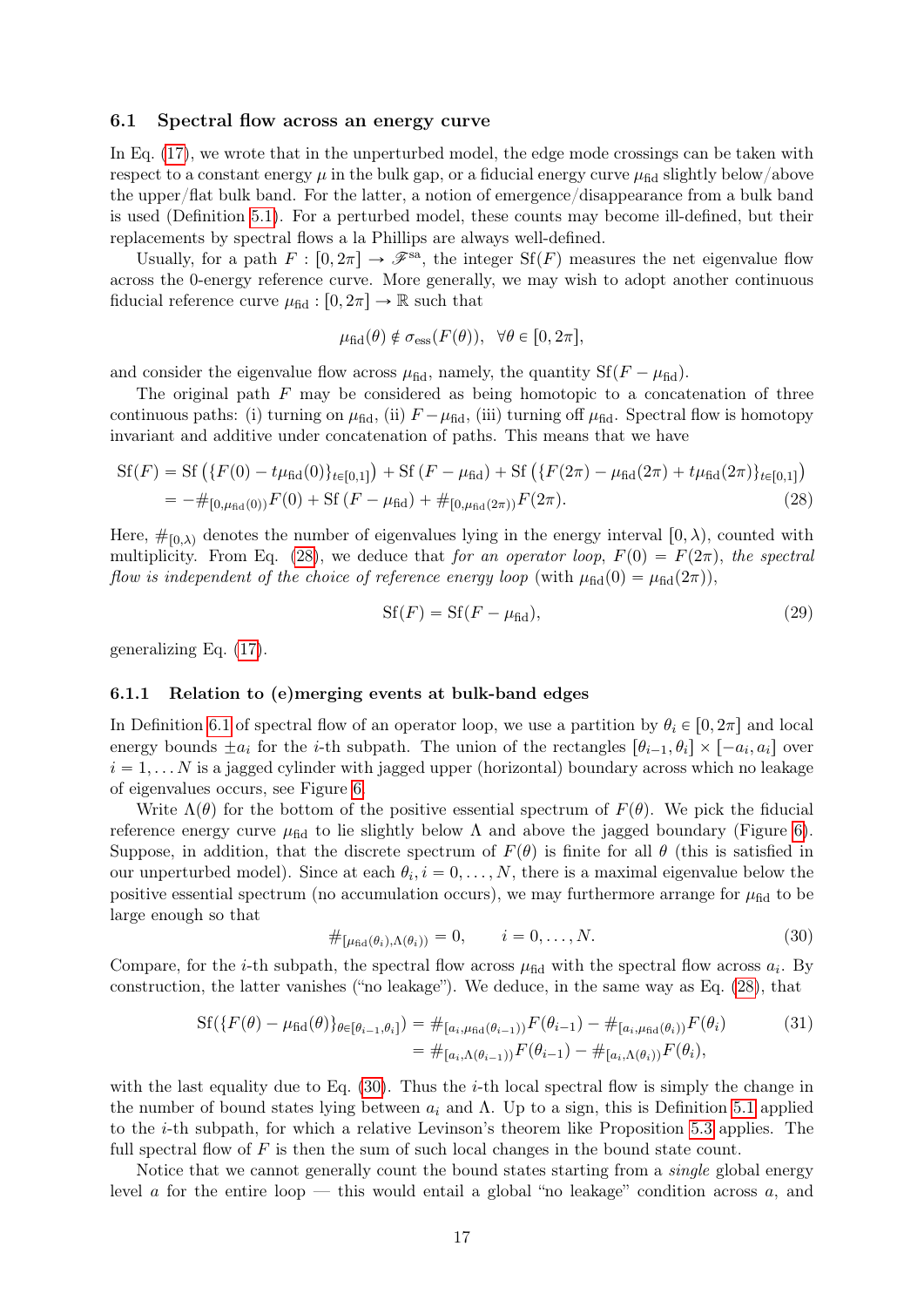### 6.1 Spectral flow across an energy curve

In Eq. [\(17\)](#page-10-2), we wrote that in the unperturbed model, the edge mode crossings can be taken with respect to a constant energy  $\mu$  in the bulk gap, or a fiducial energy curve  $\mu_{\text{fid}}$  slightly below/above the upper/flat bulk band. For the latter, a notion of emergence/disappearance from a bulk band is used (Definition [5.1\)](#page-10-0). For a perturbed model, these counts may become ill-defined, but their replacements by spectral flows a la Phillips are always well-defined.

Usually, for a path  $F : [0, 2\pi] \to \mathscr{F}^{\text{sa}}$ , the integer  $Sf(F)$  measures the net eigenvalue flow across the 0-energy reference curve. More generally, we may wish to adopt another continuous fiducial reference curve  $\mu_{\text{fid}} : [0, 2\pi] \to \mathbb{R}$  such that

$$
\mu_{\text{fid}}(\theta) \notin \sigma_{\text{ess}}(F(\theta)), \ \forall \theta \in [0, 2\pi],
$$

and consider the eigenvalue flow across  $\mu_{\text{fid}}$ , namely, the quantity  $Sf(F - \mu_{\text{fid}})$ .

The original path  $F$  may be considered as being homotopic to a concatenation of three continuous paths: (i) turning on  $\mu_{\text{fid}}$ , (ii)  $F - \mu_{\text{fid}}$ , (iii) turning off  $\mu_{\text{fid}}$ . Spectral flow is homotopy invariant and additive under concatenation of paths. This means that we have

$$
Sf(F) = Sf (\{F(0) - t\mu_{\text{fid}}(0)\}_{t \in [0,1]}) + Sf (F - \mu_{\text{fid}}) + Sf (\{F(2\pi) - \mu_{\text{fid}}(2\pi) + t\mu_{\text{fid}}(2\pi)\}_{t \in [0,1]})
$$
  
= 
$$
-\#_{[0,\mu_{\text{fid}}(0))}F(0) + Sf (F - \mu_{\text{fid}}) + \#_{[0,\mu_{\text{fid}}(2\pi))}F(2\pi).
$$
 (28)

Here,  $\#_{[0,\lambda)}$  denotes the number of eigenvalues lying in the energy interval  $[0, \lambda)$ , counted with multiplicity. From Eq. [\(28\)](#page-16-0), we deduce that for an operator loop,  $F(0) = F(2\pi)$ , the spectral flow is independent of the choice of reference energy loop (with  $\mu_{\text{fid}}(0) = \mu_{\text{fid}}(2\pi)$ ),

<span id="page-16-3"></span><span id="page-16-0"></span>
$$
Sf(F) = Sf(F - \mu_{\text{fid}}),\tag{29}
$$

generalizing Eq. [\(17\)](#page-10-2).

#### 6.1.1 Relation to (e)merging events at bulk-band edges

In Definition [6.1](#page-15-1) of spectral flow of an operator loop, we use a partition by  $\theta_i \in [0, 2\pi]$  and local energy bounds  $\pm a_i$  for the *i*-th subpath. The union of the rectangles  $[\theta_{i-1}, \theta_i] \times [-a_i, a_i]$  over  $i = 1, \ldots N$  is a jagged cylinder with jagged upper (horizontal) boundary across which no leakage of eigenvalues occurs, see Figure [6.](#page-15-2)

Write  $\Lambda(\theta)$  for the bottom of the positive essential spectrum of  $F(\theta)$ . We pick the fiducial reference energy curve  $\mu_{\text{fid}}$  to lie slightly below  $\Lambda$  and above the jagged boundary (Figure [6\)](#page-15-2). Suppose, in addition, that the discrete spectrum of  $F(\theta)$  is finite for all  $\theta$  (this is satisfied in our unperturbed model). Since at each  $\theta_i$ ,  $i = 0, \ldots, N$ , there is a maximal eigenvalue below the positive essential spectrum (no accumulation occurs), we may furthermore arrange for  $\mu_{\text{fid}}$  to be large enough so that

<span id="page-16-2"></span><span id="page-16-1"></span>
$$
\#_{\left[\mu_{\text{fid}}(\theta_i), \Lambda(\theta_i)\right)} = 0, \qquad i = 0, \dots, N. \tag{30}
$$

Compare, for the *i*-th subpath, the spectral flow across  $\mu_{\text{fid}}$  with the spectral flow across  $a_i$ . By construction, the latter vanishes ("no leakage"). We deduce, in the same way as Eq. [\(28\)](#page-16-0), that

$$
Sf(\{F(\theta) - \mu_{\text{fid}}(\theta)\}_{\theta \in [\theta_{i-1}, \theta_i]}) = \#_{[a_i, \mu_{\text{fid}}(\theta_{i-1}))} F(\theta_{i-1}) - \#_{[a_i, \mu_{\text{fid}}(\theta_i))} F(\theta_i)
$$
(31)  

$$
= \#_{[a_i, \Lambda(\theta_{i-1}))} F(\theta_{i-1}) - \#_{[a_i, \Lambda(\theta_i))} F(\theta_i),
$$

with the last equality due to Eq.  $(30)$ . Thus the *i*-th local spectral flow is simply the change in the number of bound states lying between  $a_i$  and  $\Lambda$ . Up to a sign, this is Definition [5.1](#page-10-0) applied to the i-th subpath, for which a relative Levinson's theorem like Proposition [5.3](#page-12-1) applies. The full spectral flow of  $F$  is then the sum of such local changes in the bound state count.

Notice that we cannot generally count the bound states starting from a single global energy level a for the entire loop — this would entail a global "no leakage" condition across  $a$ , and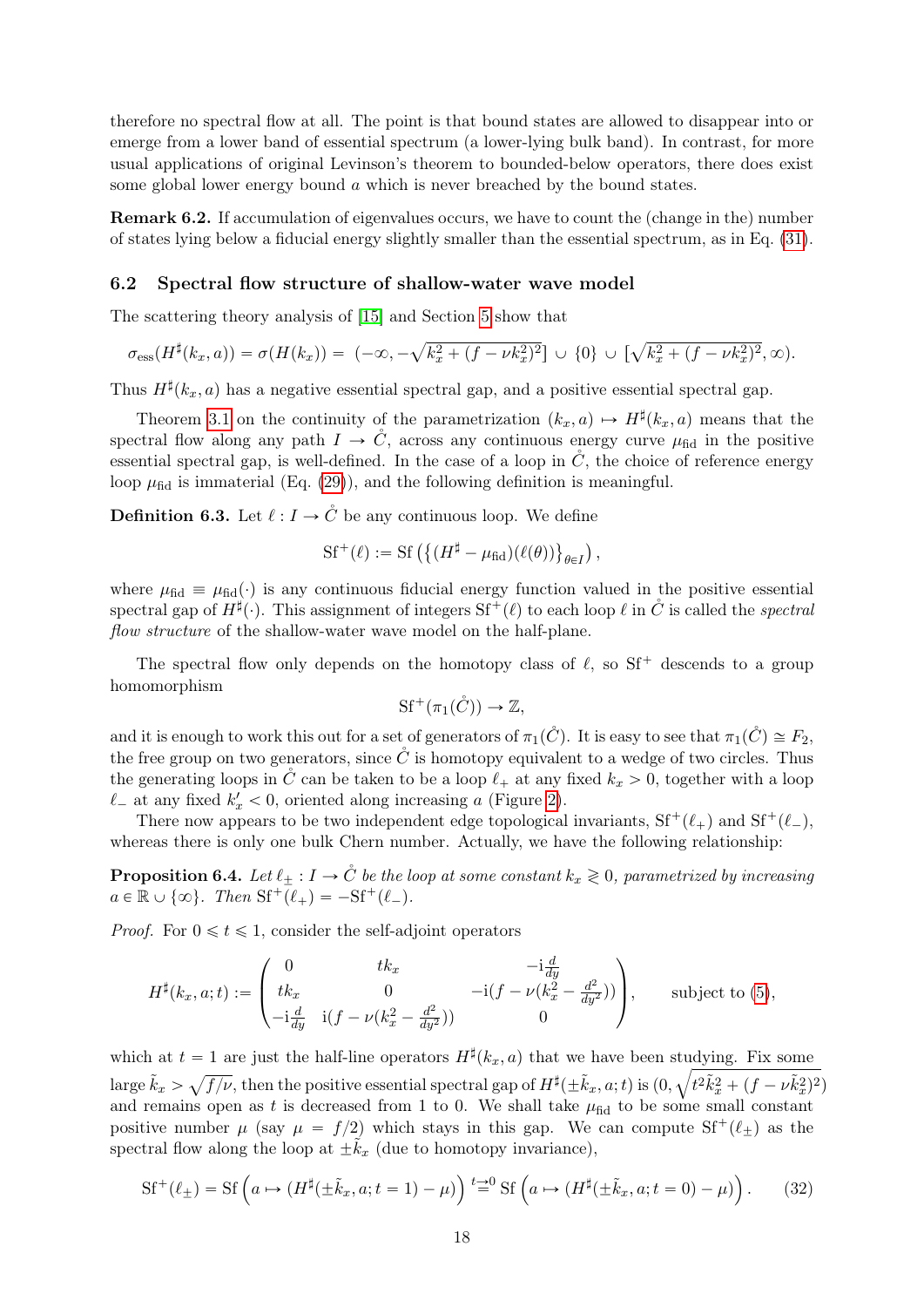therefore no spectral flow at all. The point is that bound states are allowed to disappear into or emerge from a lower band of essential spectrum (a lower-lying bulk band). In contrast, for more usual applications of original Levinson's theorem to bounded-below operators, there does exist some global lower energy bound  $\alpha$  which is never breached by the bound states.

Remark 6.2. If accumulation of eigenvalues occurs, we have to count the (change in the) number of states lying below a fiducial energy slightly smaller than the essential spectrum, as in Eq. [\(31\)](#page-16-2).

### 6.2 Spectral flow structure of shallow-water wave model

The scattering theory analysis of [\[15\]](#page-19-10) and Section [5](#page-9-0) show that

$$
\sigma_{\rm ess}(H^{\sharp}(k_x,a)) = \sigma(H(k_x)) = (-\infty, -\sqrt{k_x^2 + (f - \nu k_x^2)^2}] \cup \{0\} \cup [\sqrt{k_x^2 + (f - \nu k_x^2)^2}, \infty).
$$

Thus  $H^{\sharp}(k_x, a)$  has a negative essential spectral gap, and a positive essential spectral gap.

Theorem [3.1](#page-3-2) on the continuity of the parametrization  $(k_x, a) \mapsto H^{\sharp}(k_x, a)$  means that the spectral flow along any path  $I \to C$ , across any continuous energy curve  $\mu_{\text{fid}}$  in the positive essential spectral gap, is well-defined. In the case of a loop in  $\check{C}$ , the choice of reference energy loop  $\mu_{\text{fid}}$  is immaterial (Eq. [\(29\)](#page-16-3)), and the following definition is meaningful.

**Definition 6.3.** Let  $\ell : I \to \mathring{C}$  be any continuous loop. We define

$$
\mathrm{Sf}^+(\ell) := \mathrm{Sf}\left( \left\{ (H^{\sharp} - \mu_{\text{fid}})(\ell(\theta)) \right\}_{\theta \in I} \right),
$$

where  $\mu_{\text{fid}} \equiv \mu_{\text{fid}}(\cdot)$  is any continuous fiducial energy function valued in the positive essential spectral gap of  $H^{\sharp}(\cdot)$ . This assignment of integers  $Sf^+(\ell)$  to each loop  $\ell$  in  $\dot{C}$  is called the spectral flow structure of the shallow-water wave model on the half-plane.

The spectral flow only depends on the homotopy class of  $\ell$ , so Sf<sup>+</sup> descends to a group homomorphism

$$
Sf^+(\pi_1(\mathring{C})) \to \mathbb{Z},
$$

and it is enough to work this out for a set of generators of  $\pi_1(\check{C})$ . It is easy to see that  $\pi_1(\check{C}) \cong F_2$ , the free group on two generators, since  $\mathring{C}$  is homotopy equivalent to a wedge of two circles. Thus the generating loops in  $\check{C}$  can be taken to be a loop  $\ell_+$  at any fixed  $k_x > 0$ , together with a loop  $\ell_{-}$  at any fixed  $k'_x < 0$ , oriented along increasing a (Figure [2\)](#page-4-0).

There now appears to be two independent edge topological invariants,  $Sf^+(\ell_+)$  and  $Sf^+(\ell_-)$ , whereas there is only one bulk Chern number. Actually, we have the following relationship:

<span id="page-17-1"></span>**Proposition 6.4.** Let  $\ell_+ : I \to \mathring{C}$  be the loop at some constant  $k_x \geq 0$ , parametrized by increasing  $a \in \mathbb{R} \cup \{\infty\}$ . Then  $Sf^+(\ell_+) = -Sf^+(\ell_-)$ .

*Proof.* For  $0 \le t \le 1$ , consider the self-adjoint operators

$$
H^{\sharp}(k_x, a; t) := \begin{pmatrix} 0 & tk_x & -\mathrm{i} \frac{d}{dy} \\ tk_x & 0 & -\mathrm{i} (f - \nu(k_x^2 - \frac{d^2}{dy^2})) \\ -\mathrm{i} \frac{d}{dy} & \mathrm{i} (f - \nu(k_x^2 - \frac{d^2}{dy^2})) & 0 \end{pmatrix}, \text{ subject to (5)},
$$

which at  $t = 1$  are just the half-line operators  $H^{\sharp}(k_x, a)$  that we have been studying. Fix some  $\text{large } \tilde{k}_x > \sqrt{f/\nu}, \text{ then the positive essential spectral gap of } H^\sharp(\pm \tilde{k}_x, a; t) \text{ is } (0, \sqrt{t^2 \tilde{k}_x^2 + (f - \nu \tilde{k}_x^2)^2})$ and remains open as t is decreased from 1 to 0. We shall take  $\mu_{\text{fid}}$  to be some small constant positive number  $\mu$  (say  $\mu = f/2$ ) which stays in this gap. We can compute Sf<sup>+</sup>( $\ell_{\pm}$ ) as the spectral flow along the loop at  $\pm \tilde{k}_x$  (due to homotopy invariance),

<span id="page-17-0"></span>
$$
\mathrm{Sf}^+(\ell_\pm) = \mathrm{Sf}\left(a \mapsto (H^\sharp(\pm \tilde{k}_x, a; t=1) - \mu)\right) \stackrel{t \to 0}{=} \mathrm{Sf}\left(a \mapsto (H^\sharp(\pm \tilde{k}_x, a; t=0) - \mu)\right). \tag{32}
$$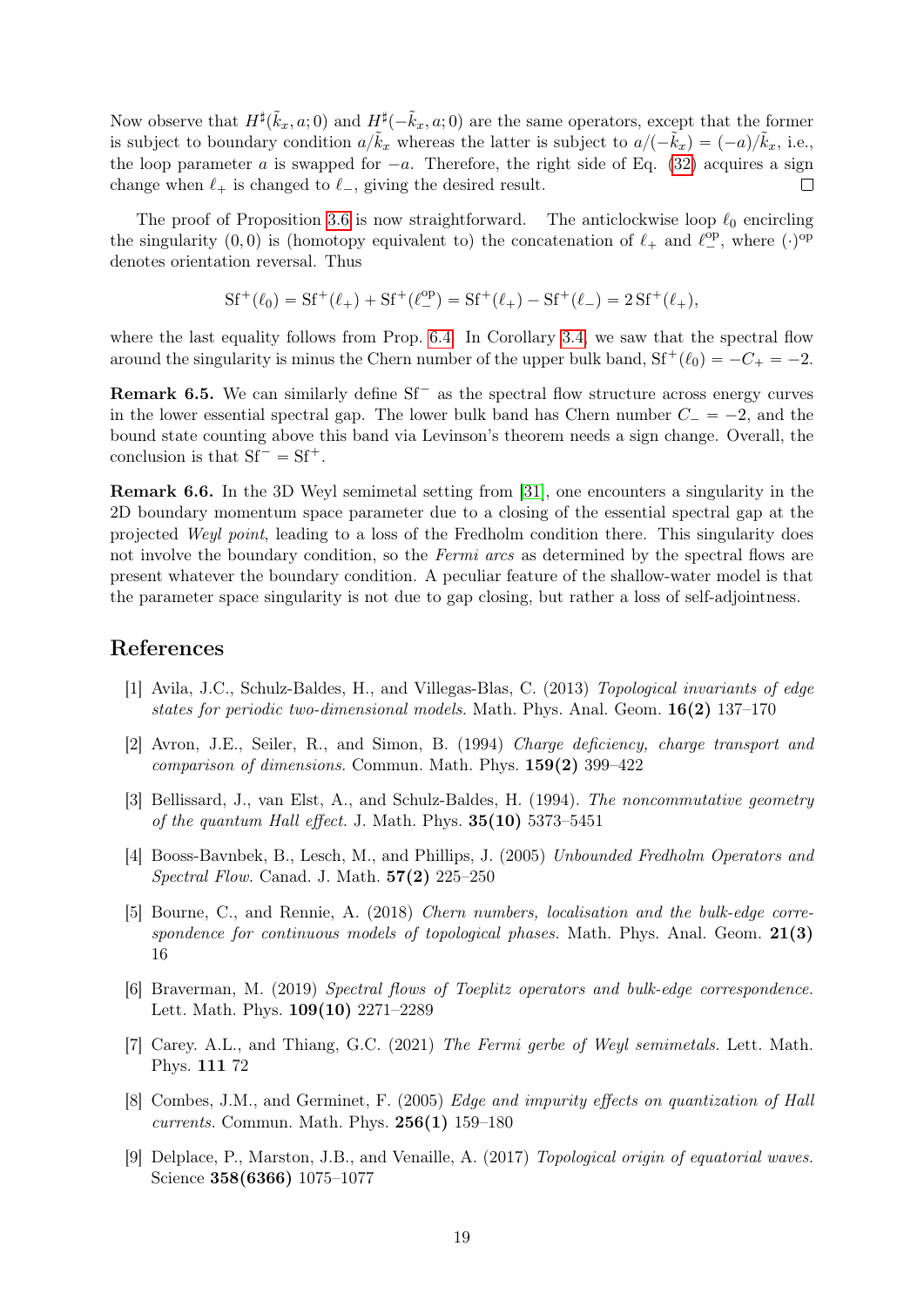Now observe that  $H^{\sharp}(\tilde{k}_x, a; 0)$  and  $H^{\sharp}(-\tilde{k}_x, a; 0)$  are the same operators, except that the former is subject to boundary condition  $a/\tilde{k}_x$  whereas the latter is subject to  $a/(-\tilde{k}_x) = (-a)/\tilde{k}_x$ , i.e., the loop parameter a is swapped for  $-a$ . Therefore, the right side of Eq. [\(32\)](#page-17-0) acquires a sign change when  $\ell_+$  is changed to  $\ell_-$ , giving the desired result.  $\Box$ 

The proof of Proposition [3.6](#page-6-4) is now straightforward. The anticlockwise loop  $\ell_0$  encircling the singularity  $(0,0)$  is (homotopy equivalent to) the concatenation of  $\ell_+$  and  $\ell_{-}^{\text{op}},$  where  $(\cdot)^{\text{op}}$ denotes orientation reversal. Thus

$$
Sf^+(\ell_0)=Sf^+(\ell_+)+Sf^+(\ell_-^{\rm op})=Sf^+(\ell_+)-Sf^+(\ell_-)=2\,Sf^+(\ell_+),
$$

where the last equality follows from Prop. [6.4.](#page-17-1) In Corollary [3.4,](#page-5-1) we saw that the spectral flow around the singularity is minus the Chern number of the upper bulk band,  $Sf^+(\ell_0) = -C_+ = -2$ .

**Remark 6.5.** We can similarly define  $Sf^-$  as the spectral flow structure across energy curves in the lower essential spectral gap. The lower bulk band has Chern number  $C_- = -2$ , and the bound state counting above this band via Levinson's theorem needs a sign change. Overall, the conclusion is that  $Sf^- = Sf^+$ .

Remark 6.6. In the 3D Weyl semimetal setting from [\[31\]](#page-20-1), one encounters a singularity in the 2D boundary momentum space parameter due to a closing of the essential spectral gap at the projected Weyl point, leading to a loss of the Fredholm condition there. This singularity does not involve the boundary condition, so the Fermi arcs as determined by the spectral flows are present whatever the boundary condition. A peculiar feature of the shallow-water model is that the parameter space singularity is not due to gap closing, but rather a loss of self-adjointness.

# References

- <span id="page-18-0"></span>[1] Avila, J.C., Schulz-Baldes, H., and Villegas-Blas, C. (2013) Topological invariants of edge states for periodic two-dimensional models. Math. Phys. Anal. Geom.  $16(2)$  137–170
- <span id="page-18-1"></span>[2] Avron, J.E., Seiler, R., and Simon, B. (1994) Charge deficiency, charge transport and *comparison of dimensions.* Commun. Math. Phys.  $159(2)$  399–422
- <span id="page-18-2"></span>[3] Bellissard, J., van Elst, A., and Schulz-Baldes, H. (1994). The noncommutative geometry of the quantum Hall effect. J. Math. Phys.  $35(10)$  5373–5451
- <span id="page-18-8"></span>[4] Booss-Bavnbek, B., Lesch, M., and Phillips, J. (2005) Unbounded Fredholm Operators and Spectral Flow. Canad. J. Math. 57(2) 225–250
- <span id="page-18-4"></span>[5] Bourne, C., and Rennie, A. (2018) Chern numbers, localisation and the bulk-edge correspondence for continuous models of topological phases. Math. Phys. Anal. Geom.  $21(3)$ 16
- <span id="page-18-6"></span>[6] Braverman, M. (2019) Spectral flows of Toeplitz operators and bulk-edge correspondence. Lett. Math. Phys. 109(10) 2271–2289
- <span id="page-18-7"></span>[7] Carey. A.L., and Thiang, G.C. (2021) The Fermi gerbe of Weyl semimetals. Lett. Math. Phys. 111 72
- <span id="page-18-3"></span>[8] Combes, J.M., and Germinet, F. (2005) Edge and impurity effects on quantization of Hall currents. Commun. Math. Phys.  $256(1)$  159–180
- <span id="page-18-5"></span>[9] Delplace, P., Marston, J.B., and Venaille, A. (2017) Topological origin of equatorial waves. Science 358(6366) 1075–1077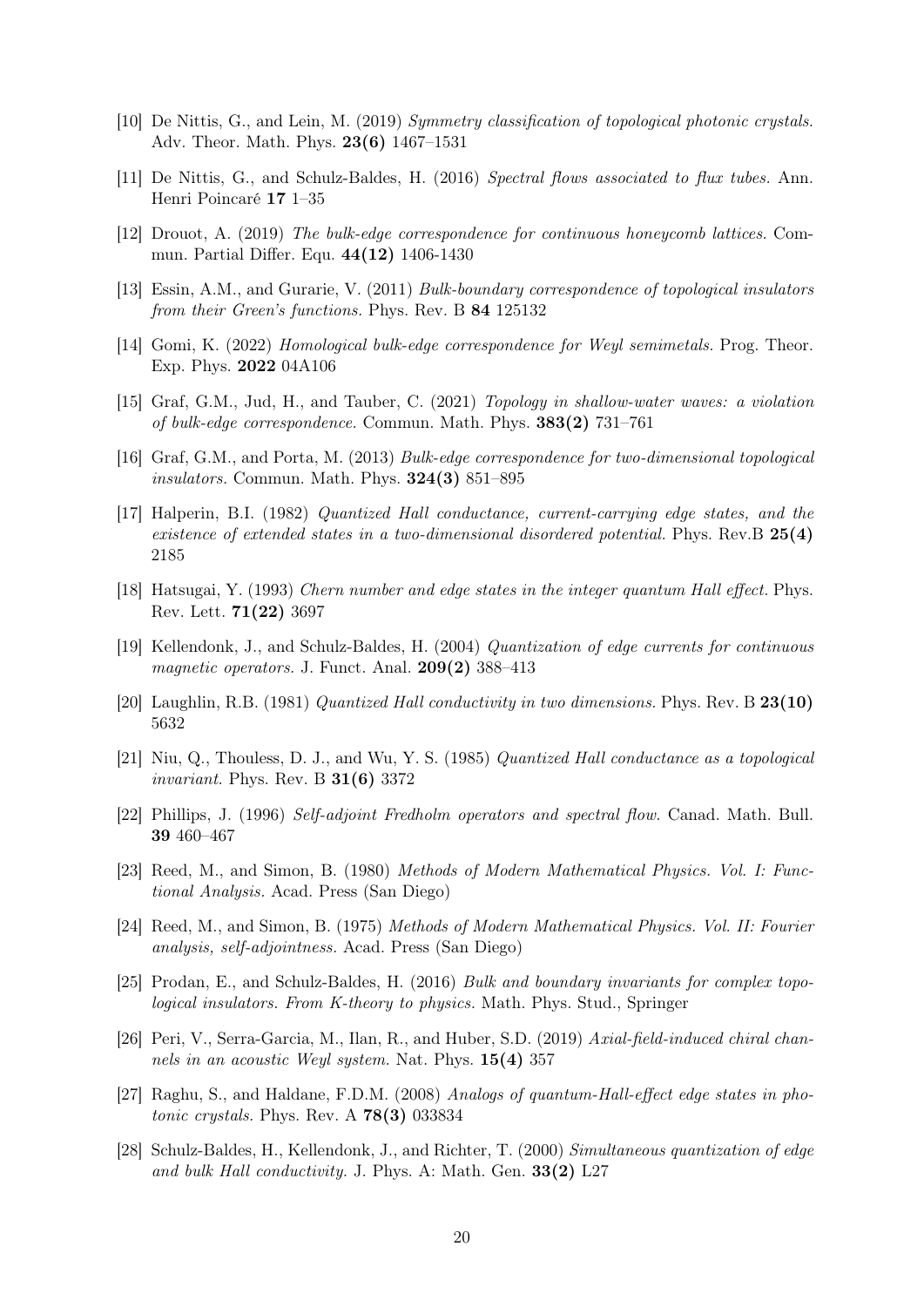- <span id="page-19-8"></span>[10] De Nittis, G., and Lein, M. (2019) Symmetry classification of topological photonic crystals. Adv. Theor. Math. Phys. 23(6) 1467–1531
- <span id="page-19-11"></span>[11] De Nittis, G., and Schulz-Baldes, H. (2016) Spectral flows associated to flux tubes. Ann. Henri Poincaré 17 1–35
- <span id="page-19-6"></span>[12] Drouot, A. (2019) The bulk-edge correspondence for continuous honeycomb lattices. Commun. Partial Differ. Equ. 44(12) 1406-1430
- <span id="page-19-5"></span>[13] Essin, A.M., and Gurarie, V. (2011) Bulk-boundary correspondence of topological insulators from their Green's functions. Phys. Rev. B 84 125132
- <span id="page-19-12"></span>[14] Gomi, K. (2022) Homological bulk-edge correspondence for Weyl semimetals. Prog. Theor. Exp. Phys. 2022 04A106
- <span id="page-19-10"></span>[15] Graf, G.M., Jud, H., and Tauber, C. (2021) Topology in shallow-water waves: a violation of bulk-edge correspondence. Commun. Math. Phys. 383(2) 731–761
- <span id="page-19-3"></span>[16] Graf, G.M., and Porta, M. (2013) Bulk-edge correspondence for two-dimensional topological *insulators.* Commun. Math. Phys.  $324(3)$  851–895
- <span id="page-19-0"></span>[17] Halperin, B.I. (1982) Quantized Hall conductance, current-carrying edge states, and the existence of extended states in a two-dimensional disordered potential. Phys. Rev.  $B 25(4)$ 2185
- <span id="page-19-1"></span>[18] Hatsugai, Y. (1993) Chern number and edge states in the integer quantum Hall effect. Phys. Rev. Lett. 71(22) 3697
- [19] Kellendonk, J., and Schulz-Baldes, H. (2004) Quantization of edge currents for continuous magnetic operators. J. Funct. Anal.  $209(2)$  388–413
- <span id="page-19-13"></span>[20] Laughlin, R.B. (1981) Quantized Hall conductivity in two dimensions. Phys. Rev. B 23(10) 5632
- <span id="page-19-14"></span>[21] Niu, Q., Thouless, D. J., and Wu, Y. S. (1985) Quantized Hall conductance as a topological invariant. Phys. Rev. B 31(6) 3372
- <span id="page-19-15"></span>[22] Phillips, J. (1996) Self-adjoint Fredholm operators and spectral flow. Canad. Math. Bull. 39 460–467
- <span id="page-19-17"></span>[23] Reed, M., and Simon, B. (1980) Methods of Modern Mathematical Physics. Vol. I: Functional Analysis. Acad. Press (San Diego)
- <span id="page-19-16"></span>[24] Reed, M., and Simon, B. (1975) Methods of Modern Mathematical Physics. Vol. II: Fourier analysis, self-adjointness. Acad. Press (San Diego)
- <span id="page-19-4"></span>[25] Prodan, E., and Schulz-Baldes, H. (2016) Bulk and boundary invariants for complex topological insulators. From K-theory to physics. Math. Phys. Stud., Springer
- <span id="page-19-9"></span>[26] Peri, V., Serra-Garcia, M., Ilan, R., and Huber, S.D. (2019) Axial-field-induced chiral channels in an acoustic Weyl system. Nat. Phys. 15(4) 357
- <span id="page-19-7"></span>[27] Raghu, S., and Haldane, F.D.M. (2008) Analogs of quantum-Hall-effect edge states in photonic crystals. Phys. Rev. A 78(3) 033834
- <span id="page-19-2"></span>[28] Schulz-Baldes, H., Kellendonk, J., and Richter, T. (2000) Simultaneous quantization of edge and bulk Hall conductivity. J. Phys. A: Math. Gen. 33(2) L27